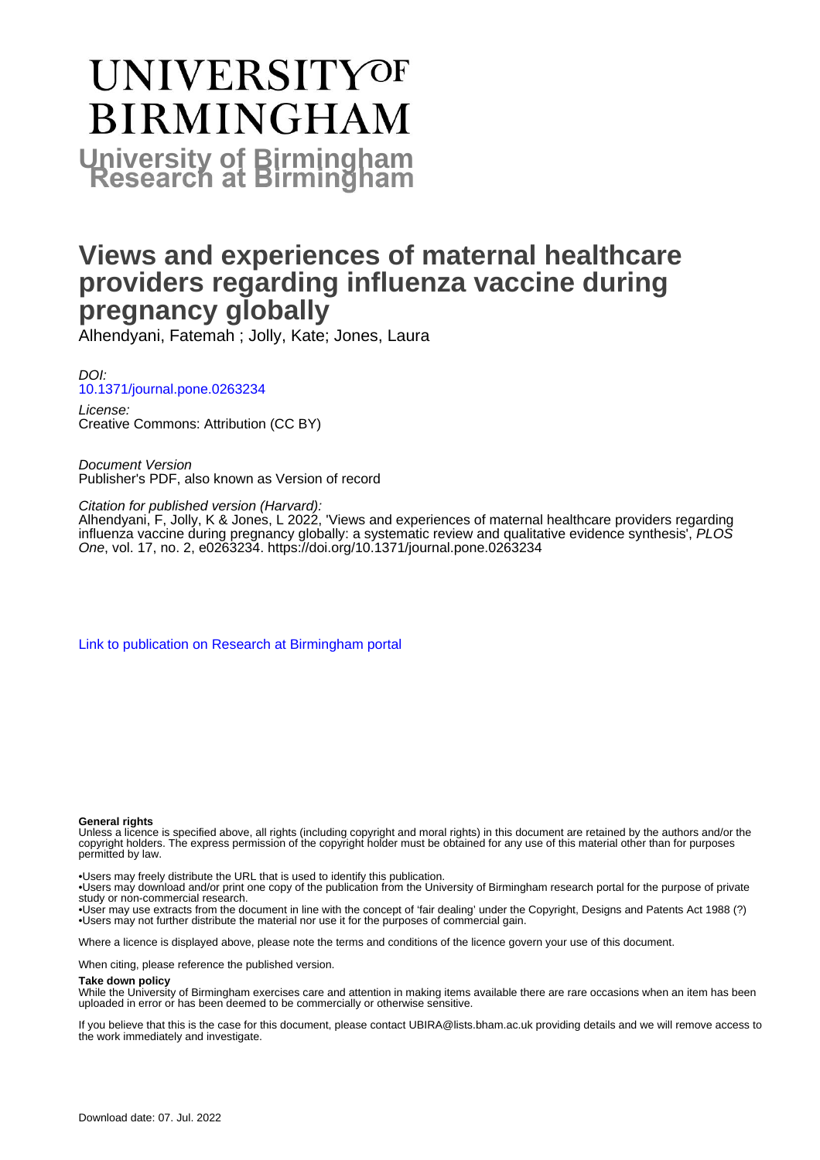# **UNIVERSITYOF BIRMINGHAM University of Birmingham**

# **Views and experiences of maternal healthcare providers regarding influenza vaccine during pregnancy globally**

Alhendyani, Fatemah ; Jolly, Kate; Jones, Laura

DOI: [10.1371/journal.pone.0263234](https://doi.org/10.1371/journal.pone.0263234)

License: Creative Commons: Attribution (CC BY)

Document Version Publisher's PDF, also known as Version of record

Citation for published version (Harvard):

Alhendyani, F, Jolly, K & Jones, L 2022, 'Views and experiences of maternal healthcare providers regarding influenza vaccine during pregnancy globally: a systematic review and qualitative evidence synthesis', PLOS One, vol. 17, no. 2, e0263234.<https://doi.org/10.1371/journal.pone.0263234>

[Link to publication on Research at Birmingham portal](https://birmingham.elsevierpure.com/en/publications/ce2e4eb3-6a1a-4bf5-90b5-145240e7443a)

#### **General rights**

Unless a licence is specified above, all rights (including copyright and moral rights) in this document are retained by the authors and/or the copyright holders. The express permission of the copyright holder must be obtained for any use of this material other than for purposes permitted by law.

• Users may freely distribute the URL that is used to identify this publication.

• Users may download and/or print one copy of the publication from the University of Birmingham research portal for the purpose of private study or non-commercial research.

• User may use extracts from the document in line with the concept of 'fair dealing' under the Copyright, Designs and Patents Act 1988 (?) • Users may not further distribute the material nor use it for the purposes of commercial gain.

Where a licence is displayed above, please note the terms and conditions of the licence govern your use of this document.

When citing, please reference the published version.

#### **Take down policy**

While the University of Birmingham exercises care and attention in making items available there are rare occasions when an item has been uploaded in error or has been deemed to be commercially or otherwise sensitive.

If you believe that this is the case for this document, please contact UBIRA@lists.bham.ac.uk providing details and we will remove access to the work immediately and investigate.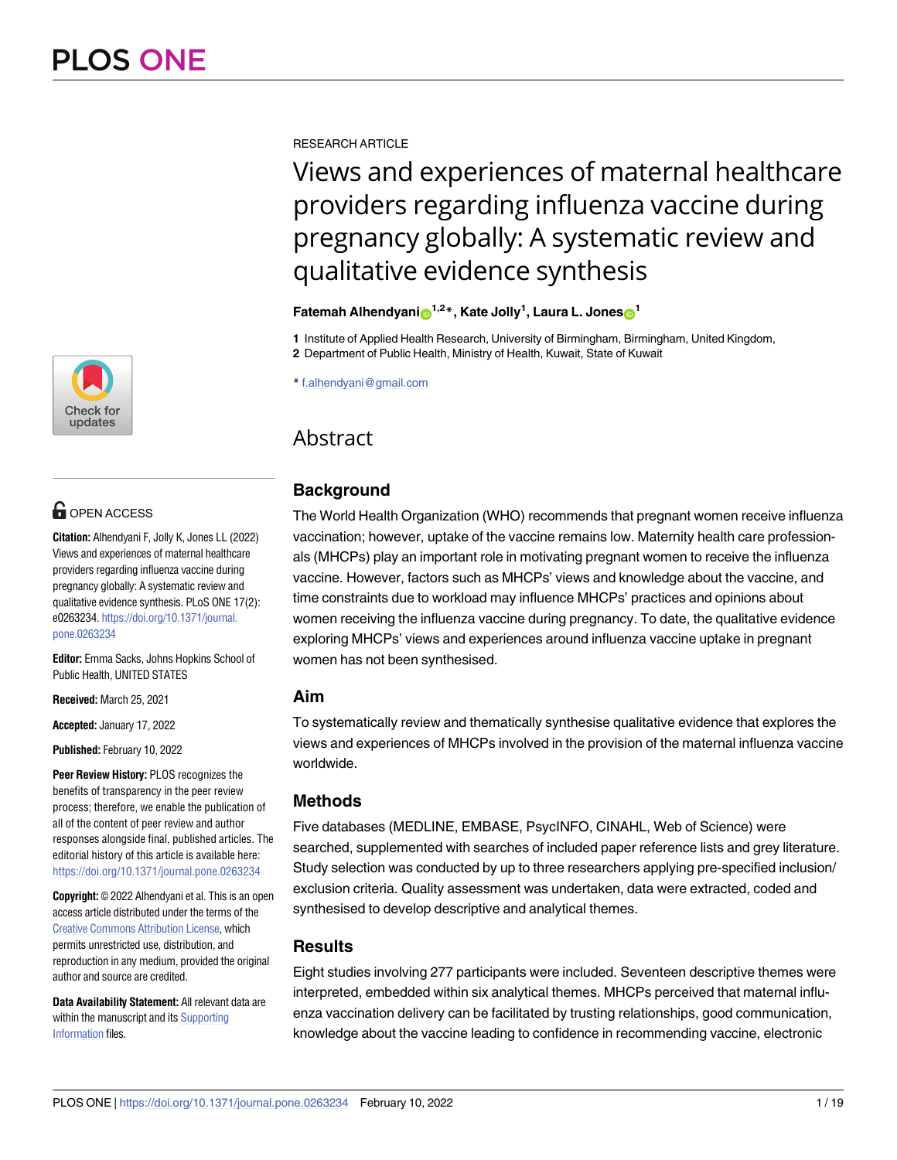

# **OPEN ACCESS**

**Citation:** Alhendyani F, Jolly K, Jones LL (2022) Views and experiences of maternal healthcare providers regarding influenza vaccine during pregnancy globally: A systematic review and qualitative evidence synthesis. PLoS ONE 17(2): e0263234. [https://doi.org/10.1371/journal.](https://doi.org/10.1371/journal.pone.0263234) [pone.0263234](https://doi.org/10.1371/journal.pone.0263234)

**Editor:** Emma Sacks, Johns Hopkins School of Public Health, UNITED STATES

**Received:** March 25, 2021

**Accepted:** January 17, 2022

**Published:** February 10, 2022

**Peer Review History:** PLOS recognizes the benefits of transparency in the peer review process; therefore, we enable the publication of all of the content of peer review and author responses alongside final, published articles. The editorial history of this article is available here: <https://doi.org/10.1371/journal.pone.0263234>

**Copyright:** © 2022 Alhendyani et al. This is an open access article distributed under the terms of the Creative Commons [Attribution](http://creativecommons.org/licenses/by/4.0/) License, which permits unrestricted use, distribution, and reproduction in any medium, provided the original author and source are credited.

**Data Availability Statement:** All relevant data are within the manuscript and its [Supporting](#page-15-0) [Information](#page-15-0) files.

RESEARCH ARTICLE

# Views and experiences of maternal healthcare providers regarding influenza vaccine during pregnancy globally: A systematic review and qualitative evidence synthesis

# $\mathbf{F}$ atemah Alhendyani $\mathbf{D}^{1,2}$ \*, Kate Jolly<sup>1</sup>, Laura L. Jones $\mathbf{D}^{1}$

**1** Institute of Applied Health Research, University of Birmingham, Birmingham, United Kingdom,

**2** Department of Public Health, Ministry of Health, Kuwait, State of Kuwait

\* f.alhendyani@gmail.com

# Abstract

# **Background**

The World Health Organization (WHO) recommends that pregnant women receive influenza vaccination; however, uptake of the vaccine remains low. Maternity health care professionals (MHCPs) play an important role in motivating pregnant women to receive the influenza vaccine. However, factors such as MHCPs' views and knowledge about the vaccine, and time constraints due to workload may influence MHCPs' practices and opinions about women receiving the influenza vaccine during pregnancy. To date, the qualitative evidence exploring MHCPs' views and experiences around influenza vaccine uptake in pregnant women has not been synthesised.

# **Aim**

To systematically review and thematically synthesise qualitative evidence that explores the views and experiences of MHCPs involved in the provision of the maternal influenza vaccine worldwide.

# **Methods**

Five databases (MEDLINE, EMBASE, PsycINFO, CINAHL, Web of Science) were searched, supplemented with searches of included paper reference lists and grey literature. Study selection was conducted by up to three researchers applying pre-specified inclusion/ exclusion criteria. Quality assessment was undertaken, data were extracted, coded and synthesised to develop descriptive and analytical themes.

# **Results**

Eight studies involving 277 participants were included. Seventeen descriptive themes were interpreted, embedded within six analytical themes. MHCPs perceived that maternal influenza vaccination delivery can be facilitated by trusting relationships, good communication, knowledge about the vaccine leading to confidence in recommending vaccine, electronic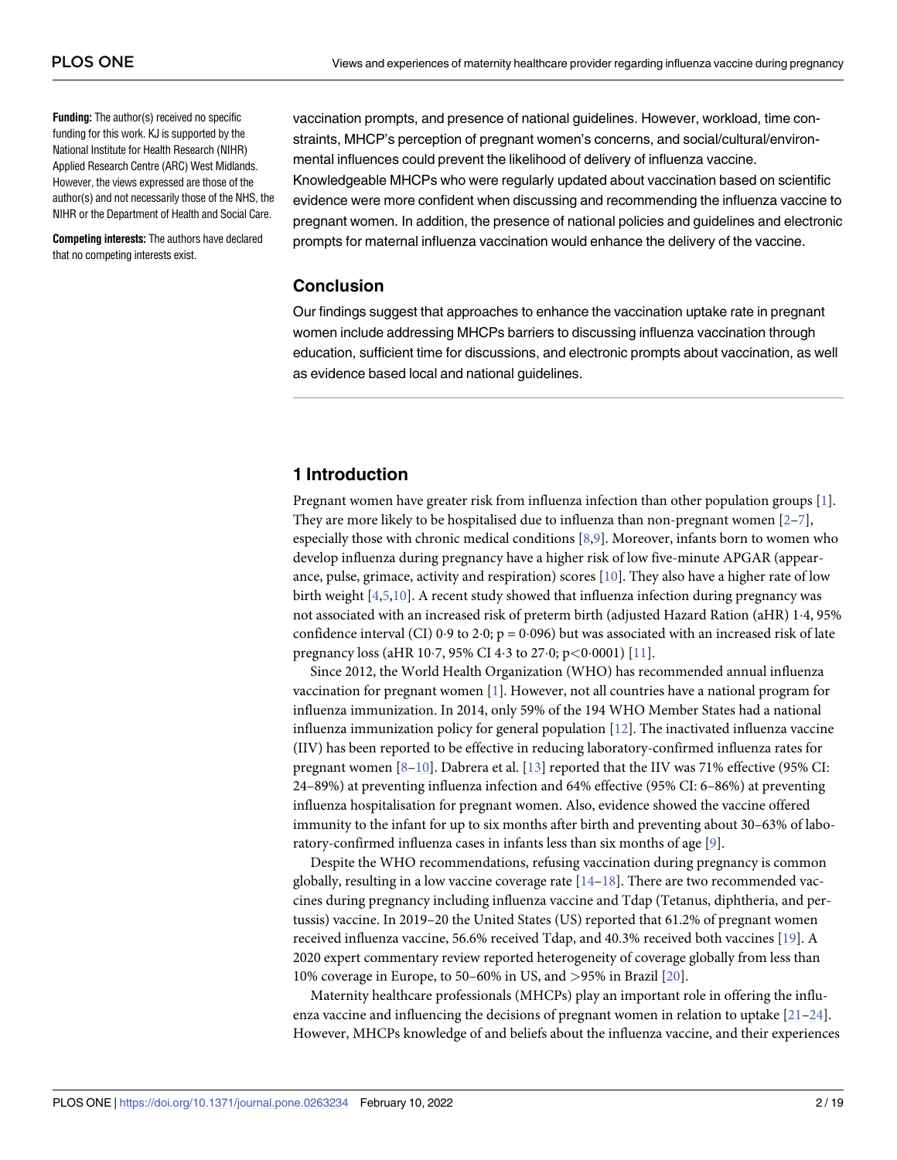<span id="page-2-0"></span>**Funding:** The author(s) received no specific funding for this work. KJ is supported by the National Institute for Health Research (NIHR) Applied Research Centre (ARC) West Midlands. However, the views expressed are those of the author(s) and not necessarily those of the NHS, the NIHR or the Department of Health and Social Care.

**Competing interests:** The authors have declared that no competing interests exist.

vaccination prompts, and presence of national guidelines. However, workload, time constraints, MHCP's perception of pregnant women's concerns, and social/cultural/environmental influences could prevent the likelihood of delivery of influenza vaccine. Knowledgeable MHCPs who were regularly updated about vaccination based on scientific evidence were more confident when discussing and recommending the influenza vaccine to pregnant women. In addition, the presence of national policies and guidelines and electronic prompts for maternal influenza vaccination would enhance the delivery of the vaccine.

### **Conclusion**

Our findings suggest that approaches to enhance the vaccination uptake rate in pregnant women include addressing MHCPs barriers to discussing influenza vaccination through education, sufficient time for discussions, and electronic prompts about vaccination, as well as evidence based local and national guidelines.

# **1 Introduction**

Pregnant women have greater risk from influenza infection than other population groups [\[1](#page-16-0)]. They are more likely to be hospitalised due to influenza than non-pregnant women  $[2-7]$  $[2-7]$ , especially those with chronic medical conditions [\[8,9\]](#page-17-0). Moreover, infants born to women who develop influenza during pregnancy have a higher risk of low five-minute APGAR (appearance, pulse, grimace, activity and respiration) scores  $[10]$ . They also have a higher rate of low birth weight [\[4,5](#page-16-0)[,10\]](#page-17-0). A recent study showed that influenza infection during pregnancy was not associated with an increased risk of preterm birth (adjusted Hazard Ration (aHR) 1�4, 95% confidence interval (CI)  $0.9$  to  $2.0$ ; p = 0.096) but was associated with an increased risk of late pregnancy loss (aHR 10�7, 95% CI 4�3 to 27�0; p*<*0�0001) [\[11\]](#page-17-0).

Since 2012, the World Health Organization (WHO) has recommended annual influenza vaccination for pregnant women [[1\]](#page-16-0). However, not all countries have a national program for influenza immunization. In 2014, only 59% of the 194 WHO Member States had a national influenza immunization policy for general population [\[12\]](#page-17-0). The inactivated influenza vaccine (IIV) has been reported to be effective in reducing laboratory-confirmed influenza rates for pregnant women [[8](#page-17-0)–[10](#page-17-0)]. Dabrera et al. [\[13\]](#page-17-0) reported that the IIV was 71% effective (95% CI: 24–89%) at preventing influenza infection and 64% effective (95% CI: 6–86%) at preventing influenza hospitalisation for pregnant women. Also, evidence showed the vaccine offered immunity to the infant for up to six months after birth and preventing about 30–63% of laboratory-confirmed influenza cases in infants less than six months of age [[9](#page-17-0)].

Despite the WHO recommendations, refusing vaccination during pregnancy is common globally, resulting in a low vaccine coverage rate  $[14-18]$ . There are two recommended vaccines during pregnancy including influenza vaccine and Tdap (Tetanus, diphtheria, and pertussis) vaccine. In 2019–20 the United States (US) reported that 61.2% of pregnant women received influenza vaccine, 56.6% received Tdap, and 40.3% received both vaccines [\[19\]](#page-17-0). A 2020 expert commentary review reported heterogeneity of coverage globally from less than 10% coverage in Europe, to 50–60% in US, and *>*95% in Brazil [\[20\]](#page-17-0).

Maternity healthcare professionals (MHCPs) play an important role in offering the influenza vaccine and influencing the decisions of pregnant women in relation to uptake  $[21-24]$  $[21-24]$  $[21-24]$  $[21-24]$  $[21-24]$ . However, MHCPs knowledge of and beliefs about the influenza vaccine, and their experiences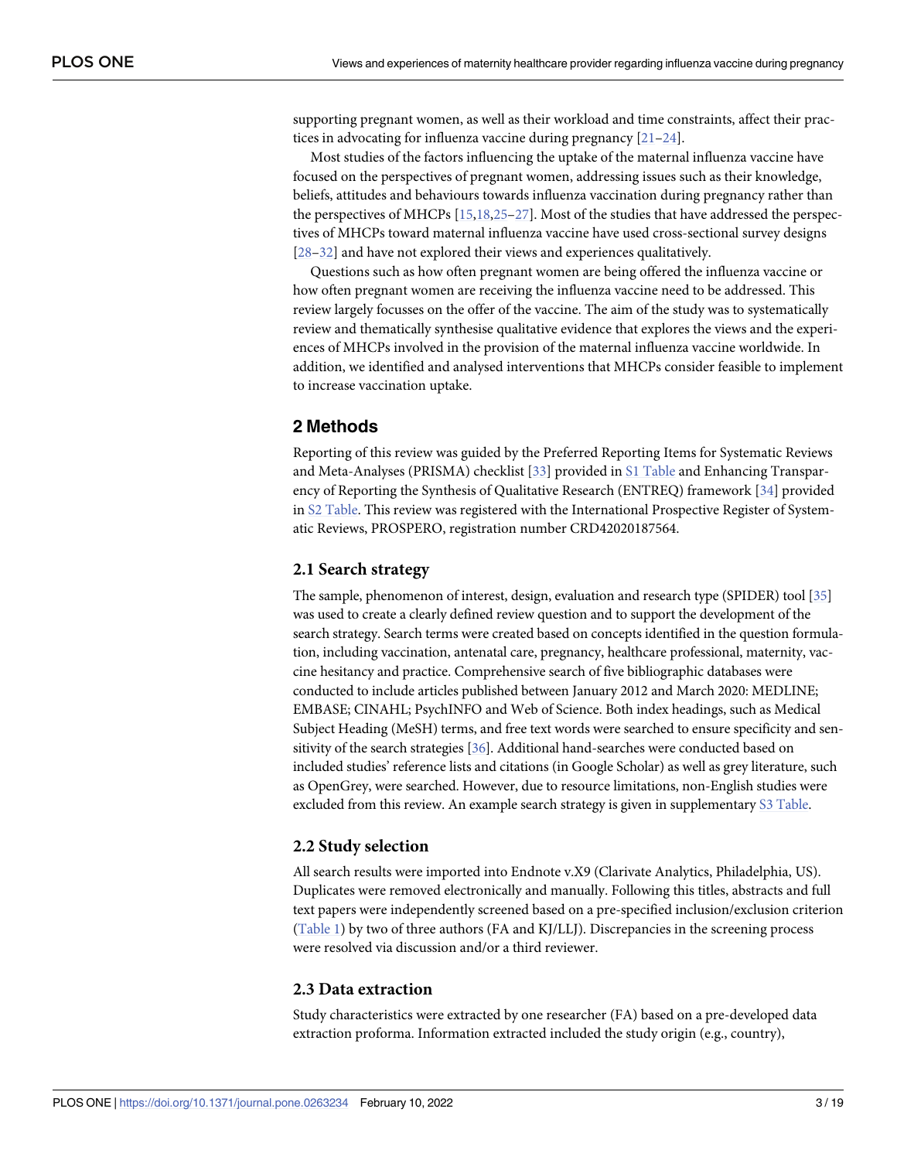<span id="page-3-0"></span>supporting pregnant women, as well as their workload and time constraints, affect their practices in advocating for influenza vaccine during pregnancy [[21](#page-17-0)–[24\]](#page-17-0).

Most studies of the factors influencing the uptake of the maternal influenza vaccine have focused on the perspectives of pregnant women, addressing issues such as their knowledge, beliefs, attitudes and behaviours towards influenza vaccination during pregnancy rather than the perspectives of MHCPs [[15,18,25–](#page-17-0)[27](#page-18-0)]. Most of the studies that have addressed the perspectives of MHCPs toward maternal influenza vaccine have used cross-sectional survey designs [\[28–32\]](#page-18-0) and have not explored their views and experiences qualitatively.

Questions such as how often pregnant women are being offered the influenza vaccine or how often pregnant women are receiving the influenza vaccine need to be addressed. This review largely focusses on the offer of the vaccine. The aim of the study was to systematically review and thematically synthesise qualitative evidence that explores the views and the experiences of MHCPs involved in the provision of the maternal influenza vaccine worldwide. In addition, we identified and analysed interventions that MHCPs consider feasible to implement to increase vaccination uptake.

# **2 Methods**

Reporting of this review was guided by the Preferred Reporting Items for Systematic Reviews and Meta-Analyses (PRISMA) checklist [[33](#page-18-0)] provided in S1 [Table](#page-15-0) and Enhancing Transparency of Reporting the Synthesis of Qualitative Research (ENTREQ) framework [[34](#page-18-0)] provided in S2 [Table](#page-16-0). This review was registered with the International Prospective Register of Systematic Reviews, PROSPERO, registration number CRD42020187564.

### **2.1 Search strategy**

The sample, phenomenon of interest, design, evaluation and research type (SPIDER) tool [\[35\]](#page-18-0) was used to create a clearly defined review question and to support the development of the search strategy. Search terms were created based on concepts identified in the question formulation, including vaccination, antenatal care, pregnancy, healthcare professional, maternity, vaccine hesitancy and practice. Comprehensive search of five bibliographic databases were conducted to include articles published between January 2012 and March 2020: MEDLINE; EMBASE; CINAHL; PsychINFO and Web of Science. Both index headings, such as Medical Subject Heading (MeSH) terms, and free text words were searched to ensure specificity and sensitivity of the search strategies [\[36\]](#page-18-0). Additional hand-searches were conducted based on included studies' reference lists and citations (in Google Scholar) as well as grey literature, such as OpenGrey, were searched. However, due to resource limitations, non-English studies were excluded from this review. An example search strategy is given in supplementary S3 [Table.](#page-16-0)

#### **2.2 Study selection**

All search results were imported into Endnote v.X9 (Clarivate Analytics, Philadelphia, US). Duplicates were removed electronically and manually. Following this titles, abstracts and full text papers were independently screened based on a pre-specified inclusion/exclusion criterion [\(Table](#page-4-0) 1) by two of three authors (FA and KJ/LLJ). Discrepancies in the screening process were resolved via discussion and/or a third reviewer.

#### **2.3 Data extraction**

Study characteristics were extracted by one researcher (FA) based on a pre-developed data extraction proforma. Information extracted included the study origin (e.g., country),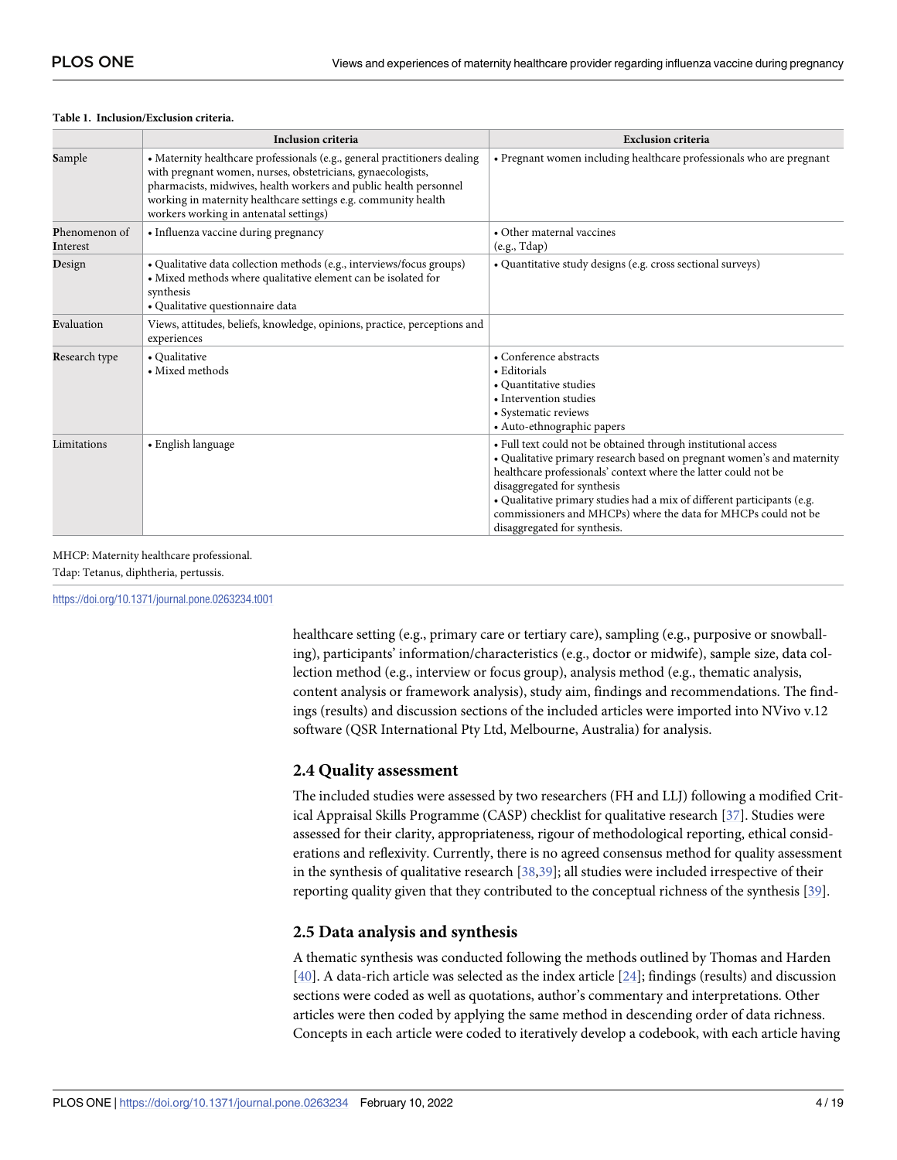#### <span id="page-4-0"></span>**[Table](#page-3-0) 1. Inclusion/Exclusion criteria.**

|                                  | <b>Inclusion criteria</b>                                                                                                                                                                                                                                                                                                 | <b>Exclusion criteria</b>                                                                                                                                                                                                                                                                                                                                                                                               |
|----------------------------------|---------------------------------------------------------------------------------------------------------------------------------------------------------------------------------------------------------------------------------------------------------------------------------------------------------------------------|-------------------------------------------------------------------------------------------------------------------------------------------------------------------------------------------------------------------------------------------------------------------------------------------------------------------------------------------------------------------------------------------------------------------------|
| Sample                           | • Maternity healthcare professionals (e.g., general practitioners dealing<br>with pregnant women, nurses, obstetricians, gynaecologists,<br>pharmacists, midwives, health workers and public health personnel<br>working in maternity healthcare settings e.g. community health<br>workers working in antenatal settings) | • Pregnant women including healthcare professionals who are pregnant                                                                                                                                                                                                                                                                                                                                                    |
| <b>Phenomenon</b> of<br>Interest | • Influenza vaccine during pregnancy                                                                                                                                                                                                                                                                                      | • Other maternal vaccines<br>(e.g., Tdap)                                                                                                                                                                                                                                                                                                                                                                               |
| Design                           | · Qualitative data collection methods (e.g., interviews/focus groups)<br>• Mixed methods where qualitative element can be isolated for<br>synthesis<br>· Qualitative questionnaire data                                                                                                                                   | • Quantitative study designs (e.g. cross sectional surveys)                                                                                                                                                                                                                                                                                                                                                             |
| Evaluation                       | Views, attitudes, beliefs, knowledge, opinions, practice, perceptions and<br>experiences                                                                                                                                                                                                                                  |                                                                                                                                                                                                                                                                                                                                                                                                                         |
| <b>Research type</b>             | • Qualitative<br>• Mixed methods                                                                                                                                                                                                                                                                                          | • Conference abstracts<br>• Editorials<br>• Quantitative studies<br>• Intervention studies<br>• Systematic reviews<br>• Auto-ethnographic papers                                                                                                                                                                                                                                                                        |
| Limitations                      | • English language                                                                                                                                                                                                                                                                                                        | • Full text could not be obtained through institutional access<br>• Qualitative primary research based on pregnant women's and maternity<br>healthcare professionals' context where the latter could not be<br>disaggregated for synthesis<br>• Qualitative primary studies had a mix of different participants (e.g.<br>commissioners and MHCPs) where the data for MHCPs could not be<br>disaggregated for synthesis. |

#### MHCP: Maternity healthcare professional.

Tdap: Tetanus, diphtheria, pertussis.

<https://doi.org/10.1371/journal.pone.0263234.t001>

healthcare setting (e.g., primary care or tertiary care), sampling (e.g., purposive or snowballing), participants' information/characteristics (e.g., doctor or midwife), sample size, data collection method (e.g., interview or focus group), analysis method (e.g., thematic analysis, content analysis or framework analysis), study aim, findings and recommendations. The findings (results) and discussion sections of the included articles were imported into NVivo v.12 software (QSR International Pty Ltd, Melbourne, Australia) for analysis.

#### **2.4 Quality assessment**

The included studies were assessed by two researchers (FH and LLJ) following a modified Critical Appraisal Skills Programme (CASP) checklist for qualitative research [[37](#page-18-0)]. Studies were assessed for their clarity, appropriateness, rigour of methodological reporting, ethical considerations and reflexivity. Currently, there is no agreed consensus method for quality assessment in the synthesis of qualitative research [\[38,39](#page-18-0)]; all studies were included irrespective of their reporting quality given that they contributed to the conceptual richness of the synthesis [[39](#page-18-0)].

#### **2.5 Data analysis and synthesis**

A thematic synthesis was conducted following the methods outlined by Thomas and Harden [\[40\]](#page-18-0). A data-rich article was selected as the index article [\[24\]](#page-17-0); findings (results) and discussion sections were coded as well as quotations, author's commentary and interpretations. Other articles were then coded by applying the same method in descending order of data richness. Concepts in each article were coded to iteratively develop a codebook, with each article having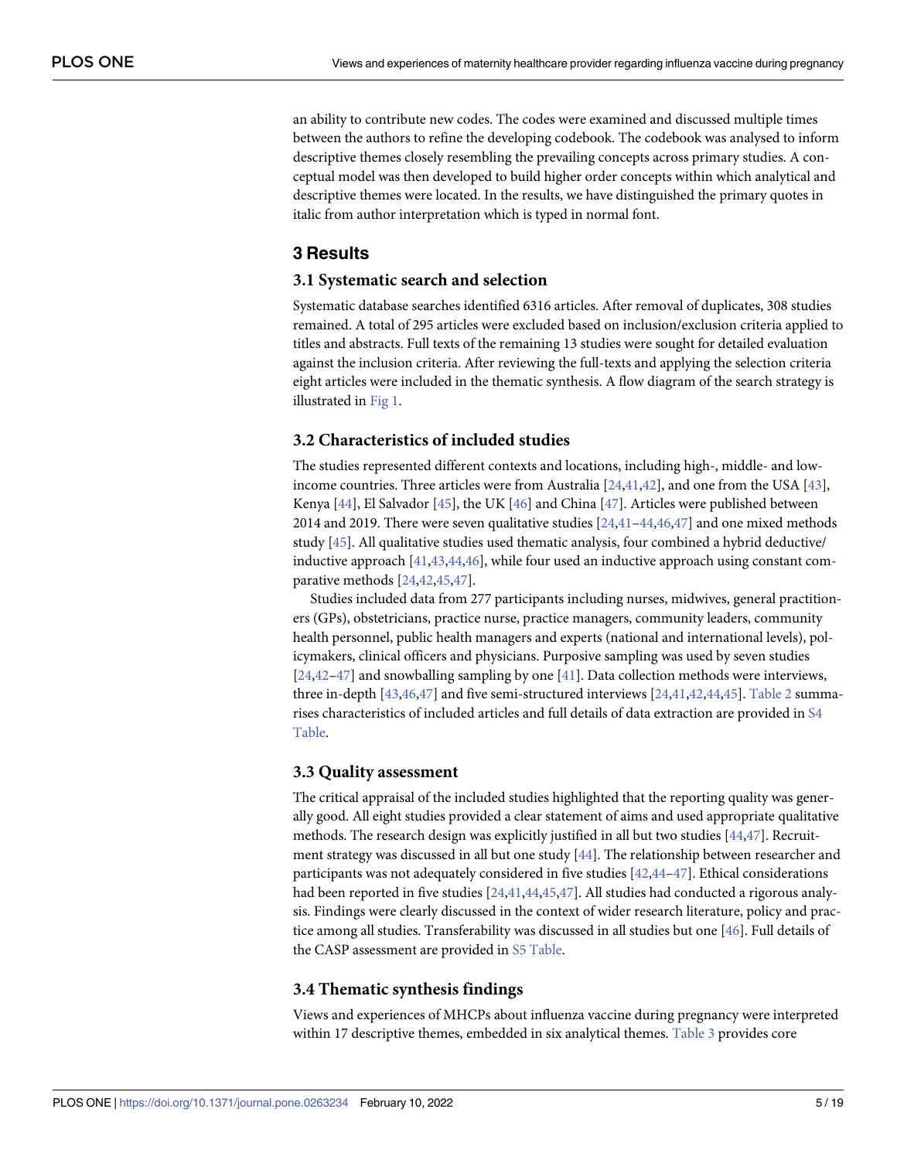<span id="page-5-0"></span>an ability to contribute new codes. The codes were examined and discussed multiple times between the authors to refine the developing codebook. The codebook was analysed to inform descriptive themes closely resembling the prevailing concepts across primary studies. A conceptual model was then developed to build higher order concepts within which analytical and descriptive themes were located. In the results, we have distinguished the primary quotes in italic from author interpretation which is typed in normal font.

# **3 Results**

#### **3.1 Systematic search and selection**

Systematic database searches identified 6316 articles. After removal of duplicates, 308 studies remained. A total of 295 articles were excluded based on inclusion/exclusion criteria applied to titles and abstracts. Full texts of the remaining 13 studies were sought for detailed evaluation against the inclusion criteria. After reviewing the full-texts and applying the selection criteria eight articles were included in the thematic synthesis. A flow diagram of the search strategy is illustrated in [Fig](#page-6-0) 1.

### **3.2 Characteristics of included studies**

The studies represented different contexts and locations, including high-, middle- and lowincome countries. Three articles were from Australia [\[24,](#page-17-0)[41](#page-18-0),[42](#page-18-0)], and one from the USA [[43](#page-18-0)], Kenya [[44](#page-18-0)], El Salvador [[45](#page-18-0)], the UK [[46](#page-18-0)] and China [[47](#page-18-0)]. Articles were published between 2014 and 2019. There were seven qualitative studies  $[24,41-44,46,47]$  $[24,41-44,46,47]$  $[24,41-44,46,47]$  and one mixed methods study [\[45\]](#page-18-0). All qualitative studies used thematic analysis, four combined a hybrid deductive/ inductive approach [[41,43,44,46](#page-18-0)], while four used an inductive approach using constant comparative methods [\[24](#page-17-0)[,42,45,47](#page-18-0)].

Studies included data from 277 participants including nurses, midwives, general practitioners (GPs), obstetricians, practice nurse, practice managers, community leaders, community health personnel, public health managers and experts (national and international levels), policymakers, clinical officers and physicians. Purposive sampling was used by seven studies [\[24](#page-17-0)[,42–47](#page-18-0)] and snowballing sampling by one [[41](#page-18-0)]. Data collection methods were interviews, three in-depth [[43](#page-18-0),[46,47\]](#page-18-0) and five semi-structured interviews [\[24,](#page-17-0)[41,42](#page-18-0),[44,45\]](#page-18-0). [Table](#page-7-0) 2 summarises characteristics of included articles and full details of data extraction are provided in [S4](#page-16-0) [Table](#page-16-0).

#### **3.3 Quality assessment**

The critical appraisal of the included studies highlighted that the reporting quality was generally good. All eight studies provided a clear statement of aims and used appropriate qualitative methods. The research design was explicitly justified in all but two studies [\[44,47](#page-18-0)]. Recruitment strategy was discussed in all but one study [\[44\]](#page-18-0). The relationship between researcher and participants was not adequately considered in five studies [\[42,44–47](#page-18-0)]. Ethical considerations had been reported in five studies [\[24,](#page-17-0)[41](#page-18-0),[44,45,47\]](#page-18-0). All studies had conducted a rigorous analysis. Findings were clearly discussed in the context of wider research literature, policy and practice among all studies. Transferability was discussed in all studies but one [\[46\]](#page-18-0). Full details of the CASP assessment are provided in S5 [Table.](#page-16-0)

#### **3.4 Thematic synthesis findings**

Views and experiences of MHCPs about influenza vaccine during pregnancy were interpreted within 17 descriptive themes, embedded in six analytical themes. [Table](#page-8-0) 3 provides core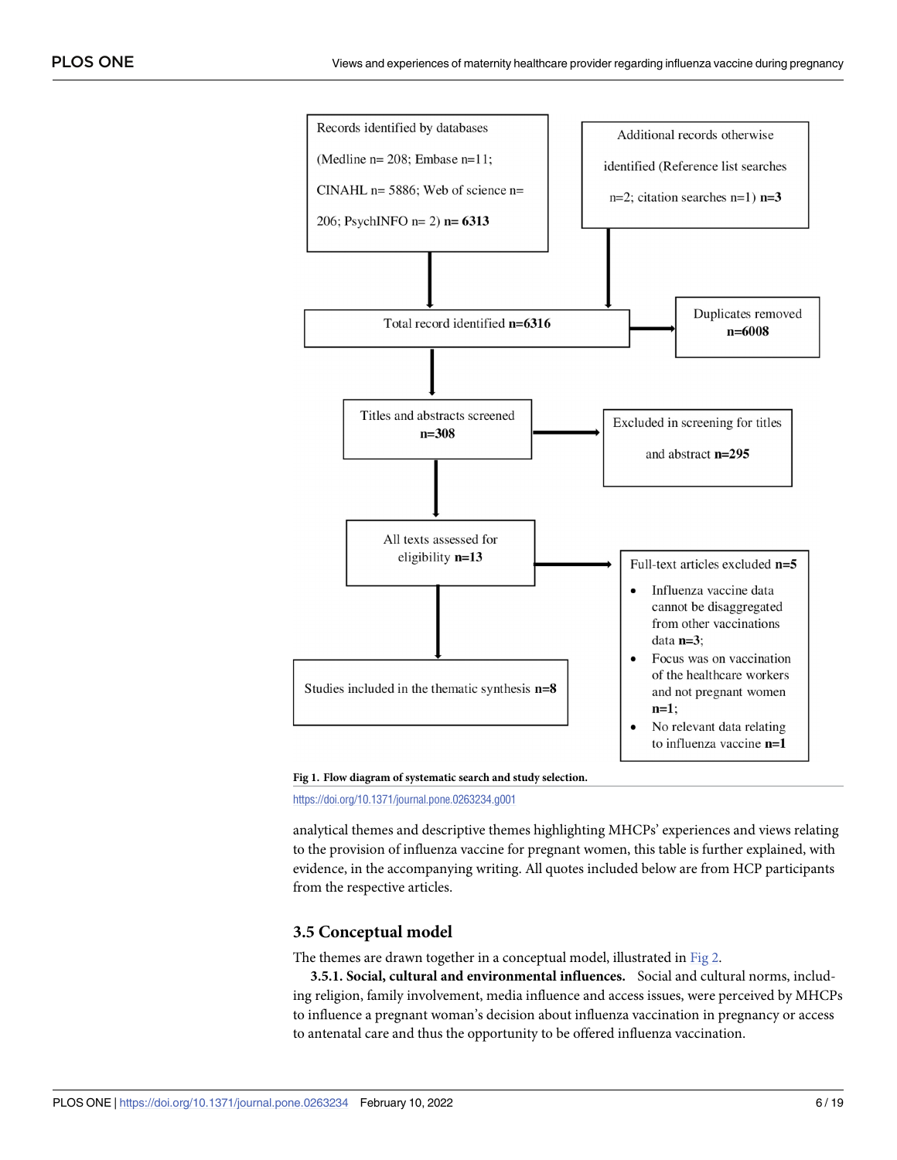<span id="page-6-0"></span>

**[Fig](#page-5-0) 1. Flow diagram of systematic search and study selection.**

<https://doi.org/10.1371/journal.pone.0263234.g001>

analytical themes and descriptive themes highlighting MHCPs' experiences and views relating to the provision of influenza vaccine for pregnant women, this table is further explained, with evidence, in the accompanying writing. All quotes included below are from HCP participants from the respective articles.

#### **3.5 Conceptual model**

The themes are drawn together in a conceptual model, illustrated in [Fig](#page-9-0) 2.

**3.5.1. Social, cultural and environmental influences.** Social and cultural norms, including religion, family involvement, media influence and access issues, were perceived by MHCPs to influence a pregnant woman's decision about influenza vaccination in pregnancy or access to antenatal care and thus the opportunity to be offered influenza vaccination.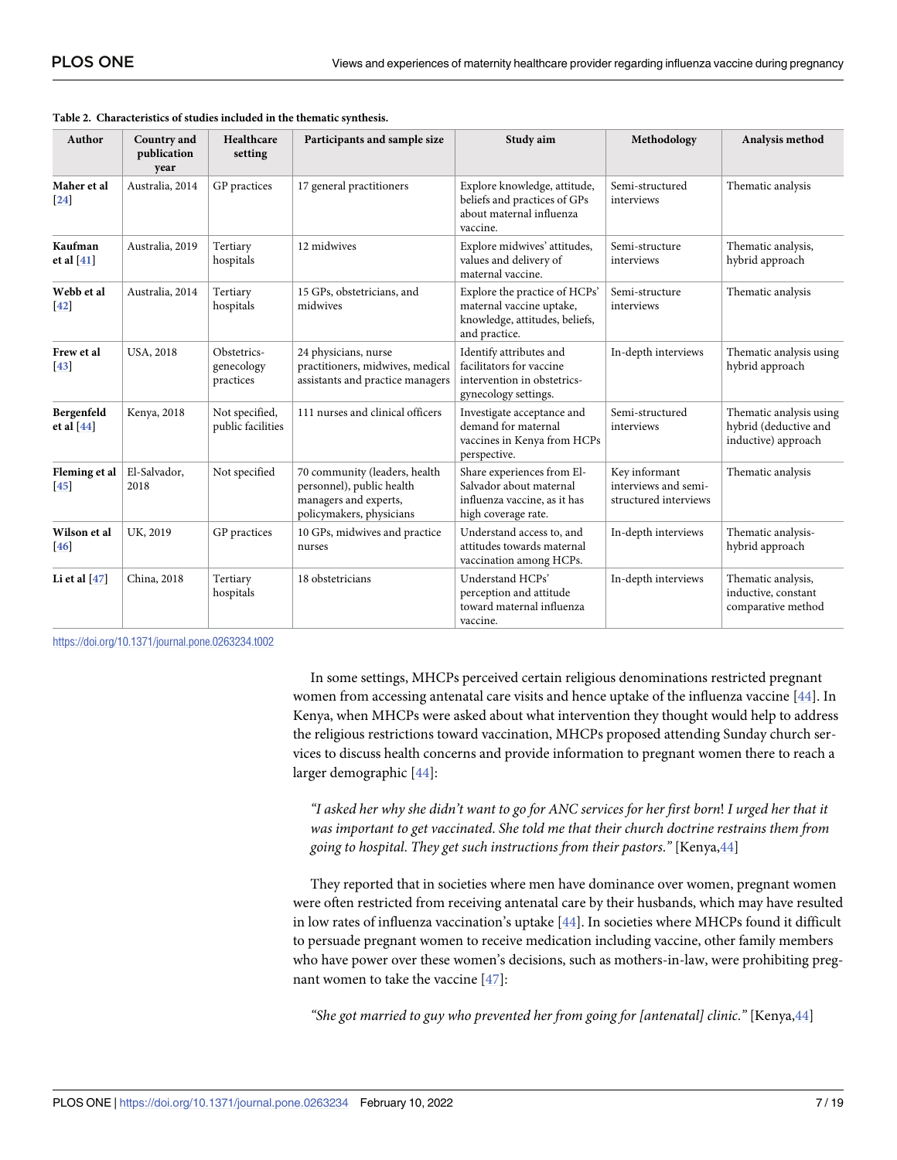| Author                     | Country and<br>publication<br>year | Healthcare<br>setting                  | Participants and sample size                                                                                    | Study aim                                                                                                    | Methodology                                                    | Analysis method                                                         |
|----------------------------|------------------------------------|----------------------------------------|-----------------------------------------------------------------------------------------------------------------|--------------------------------------------------------------------------------------------------------------|----------------------------------------------------------------|-------------------------------------------------------------------------|
| Maher et al<br>$[24]$      | Australia, 2014                    | GP practices                           | 17 general practitioners                                                                                        | Explore knowledge, attitude,<br>beliefs and practices of GPs<br>about maternal influenza<br>vaccine.         | Semi-structured<br>interviews                                  | Thematic analysis                                                       |
| Kaufman<br>et al $[41]$    | Australia, 2019                    | Tertiary<br>hospitals                  | 12 midwives                                                                                                     | Explore midwives' attitudes,<br>values and delivery of<br>maternal vaccine.                                  | Semi-structure<br>interviews                                   | Thematic analysis,<br>hybrid approach                                   |
| Webb et al<br>$[42]$       | Australia, 2014                    | Tertiary<br>hospitals                  | 15 GPs, obstetricians, and<br>midwives                                                                          | Explore the practice of HCPs'<br>maternal vaccine uptake,<br>knowledge, attitudes, beliefs,<br>and practice. | Semi-structure<br>interviews                                   | Thematic analysis                                                       |
| Frew et al<br>$[43]$       | <b>USA, 2018</b>                   | Obstetrics-<br>genecology<br>practices | 24 physicians, nurse<br>practitioners, midwives, medical<br>assistants and practice managers                    | Identify attributes and<br>facilitators for vaccine<br>intervention in obstetrics-<br>gynecology settings.   | In-depth interviews                                            | Thematic analysis using<br>hybrid approach                              |
| Bergenfeld<br>et al $[44]$ | Kenya, 2018                        | Not specified,<br>public facilities    | 111 nurses and clinical officers                                                                                | Investigate acceptance and<br>demand for maternal<br>vaccines in Kenya from HCPs<br>perspective.             | Semi-structured<br>interviews                                  | Thematic analysis using<br>hybrid (deductive and<br>inductive) approach |
| Fleming et al<br>45        | El-Salvador,<br>2018               | Not specified                          | 70 community (leaders, health<br>personnel), public health<br>managers and experts,<br>policymakers, physicians | Share experiences from El-<br>Salvador about maternal<br>influenza vaccine, as it has<br>high coverage rate. | Key informant<br>interviews and semi-<br>structured interviews | Thematic analysis                                                       |
| Wilson et al<br>46         | UK, 2019                           | GP practices                           | 10 GPs, midwives and practice<br>nurses                                                                         | Understand access to, and<br>attitudes towards maternal<br>vaccination among HCPs.                           | In-depth interviews                                            | Thematic analysis-<br>hybrid approach                                   |
| Li et al $[47]$            | China, 2018                        | Tertiary<br>hospitals                  | 18 obstetricians                                                                                                | Understand HCPs'<br>perception and attitude<br>toward maternal influenza<br>vaccine.                         | In-depth interviews                                            | Thematic analysis,<br>inductive, constant<br>comparative method         |

<span id="page-7-0"></span>

<https://doi.org/10.1371/journal.pone.0263234.t002>

In some settings, MHCPs perceived certain religious denominations restricted pregnant women from accessing antenatal care visits and hence uptake of the influenza vaccine [[44](#page-18-0)]. In Kenya, when MHCPs were asked about what intervention they thought would help to address the religious restrictions toward vaccination, MHCPs proposed attending Sunday church services to discuss health concerns and provide information to pregnant women there to reach a larger demographic [[44](#page-18-0)]:

"I asked her why she didn't want to go for ANC services for her first born! I urged her that it *was important to get vaccinated*. *She told me that their church doctrine restrains them from going to hospital*. *They get such instructions from their pastors*.*"* [Kenya,[44](#page-18-0)]

They reported that in societies where men have dominance over women, pregnant women were often restricted from receiving antenatal care by their husbands, which may have resulted in low rates of influenza vaccination's uptake [[44](#page-18-0)]. In societies where MHCPs found it difficult to persuade pregnant women to receive medication including vaccine, other family members who have power over these women's decisions, such as mothers-in-law, were prohibiting pregnant women to take the vaccine [[47](#page-18-0)]:

*"She got married to guy who prevented her from going for [antenatal] clinic*.*"* [Kenya,[44](#page-18-0)]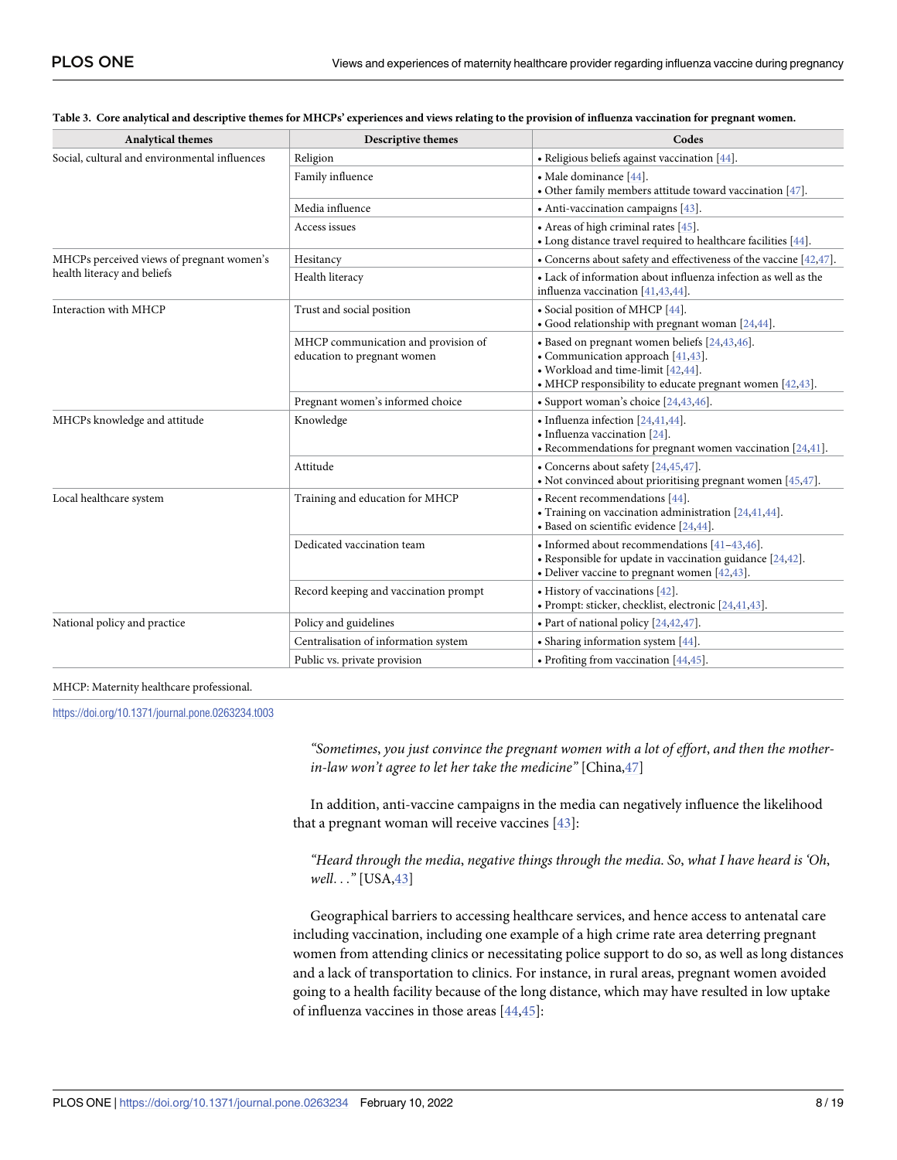| <b>Analytical themes</b>                      | <b>Descriptive themes</b>                                          | Codes                                                                                                                                                                                    |  |
|-----------------------------------------------|--------------------------------------------------------------------|------------------------------------------------------------------------------------------------------------------------------------------------------------------------------------------|--|
| Social, cultural and environmental influences | Religion                                                           | • Religious beliefs against vaccination [44].                                                                                                                                            |  |
|                                               | Family influence                                                   | • Male dominance [44].<br>• Other family members attitude toward vaccination $[47]$ .                                                                                                    |  |
|                                               | Media influence                                                    | • Anti-vaccination campaigns [43].                                                                                                                                                       |  |
|                                               | Access issues                                                      | • Areas of high criminal rates $[45]$ .<br>• Long distance travel required to healthcare facilities [44].                                                                                |  |
| MHCPs perceived views of pregnant women's     | Hesitancy                                                          | • Concerns about safety and effectiveness of the vaccine $[42, 47]$ .                                                                                                                    |  |
| health literacy and beliefs                   | Health literacy                                                    | • Lack of information about influenza infection as well as the<br>influenza vaccination [41,43,44].                                                                                      |  |
| Interaction with MHCP                         | Trust and social position                                          | • Social position of MHCP [44].<br>• Good relationship with pregnant woman [24,44].                                                                                                      |  |
|                                               | MHCP communication and provision of<br>education to pregnant women | · Based on pregnant women beliefs [24,43,46].<br>• Communication approach [41,43].<br>• Workload and time-limit [42,44].<br>• MHCP responsibility to educate pregnant women $[42, 43]$ . |  |
|                                               | Pregnant women's informed choice                                   | • Support woman's choice [24,43,46].                                                                                                                                                     |  |
| MHCPs knowledge and attitude                  | Knowledge                                                          | • Influenza infection [24,41,44].<br>• Influenza vaccination [24].<br>$\bullet$ Recommendations for pregnant women vaccination [24,41].                                                  |  |
|                                               | Attitude                                                           | • Concerns about safety [24,45,47].<br>• Not convinced about prioritising pregnant women $[45,47]$ .                                                                                     |  |
| Local healthcare system                       | Training and education for MHCP                                    | • Recent recommendations [44].<br>• Training on vaccination administration [24,41,44].<br>$\bullet$ Based on scientific evidence [24,44].                                                |  |
|                                               | Dedicated vaccination team                                         | • Informed about recommendations [41-43,46].<br>• Responsible for update in vaccination guidance $[24,42]$ .<br>• Deliver vaccine to pregnant women $[42, 43]$ .                         |  |
|                                               | Record keeping and vaccination prompt                              | • History of vaccinations [42].<br>· Prompt: sticker, checklist, electronic [24,41,43].                                                                                                  |  |
| National policy and practice                  | Policy and guidelines                                              | • Part of national policy [24,42,47].                                                                                                                                                    |  |
|                                               | Centralisation of information system                               | $\bullet$ Sharing information system [44].                                                                                                                                               |  |
|                                               | Public vs. private provision                                       | • Profiting from vaccination $[44, 45]$ .                                                                                                                                                |  |

#### <span id="page-8-0"></span>[Table](#page-5-0) 3. Core analytical and descriptive themes for MHCPs' experiences and views relating to the provision of influenza vaccination for pregnant women.

#### MHCP: Maternity healthcare professional.

<https://doi.org/10.1371/journal.pone.0263234.t003>

*"Sometimes*, *you just convince the pregnant women with a lot of effort*, *and then the motherin-law won't agree to let her take the medicine"* [China,[47](#page-18-0)]

In addition, anti-vaccine campaigns in the media can negatively influence the likelihood that a pregnant woman will receive vaccines [\[43\]](#page-18-0):

*"Heard through the media*, *negative things through the media*. *So*, *what I have heard is 'Oh*, *well*. . .*"* [USA,[43\]](#page-18-0)

Geographical barriers to accessing healthcare services, and hence access to antenatal care including vaccination, including one example of a high crime rate area deterring pregnant women from attending clinics or necessitating police support to do so, as well as long distances and a lack of transportation to clinics. For instance, in rural areas, pregnant women avoided going to a health facility because of the long distance, which may have resulted in low uptake of influenza vaccines in those areas [\[44,45\]](#page-18-0):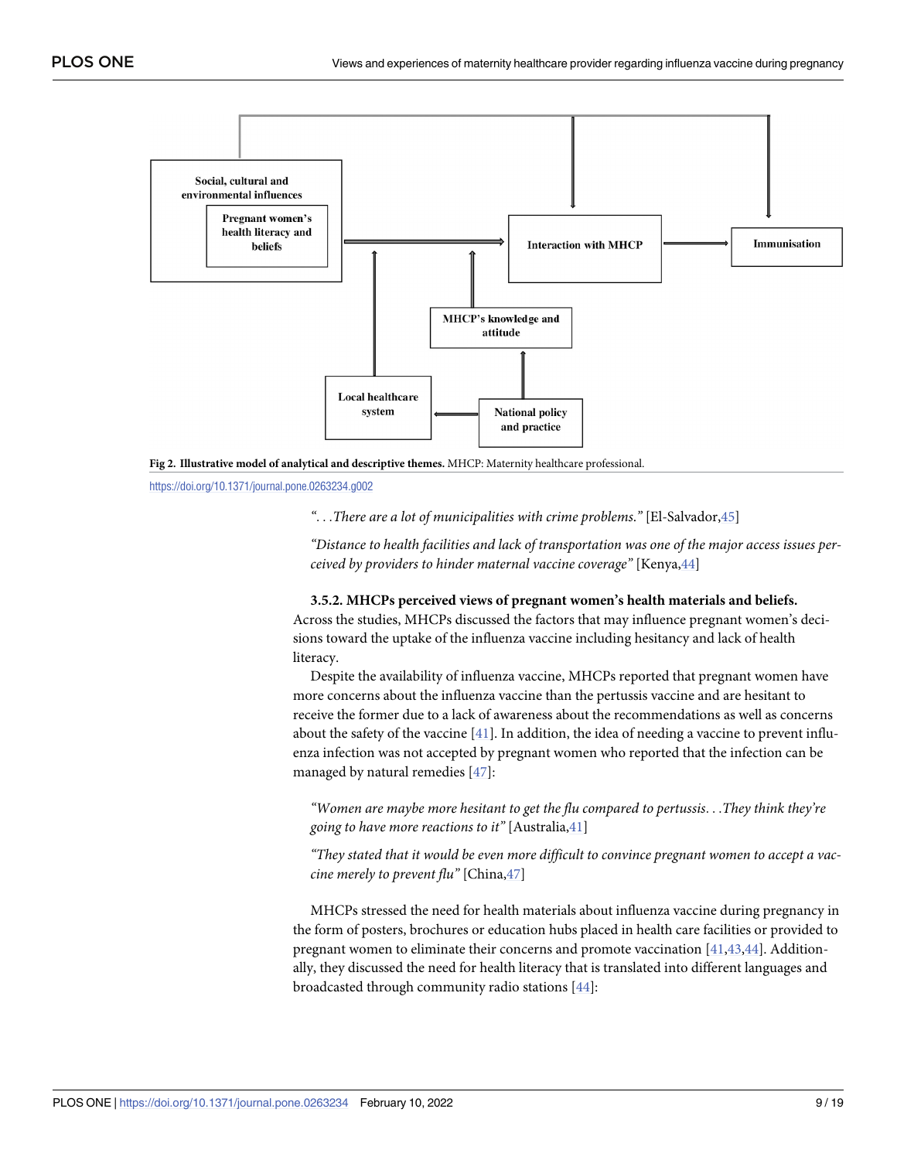<span id="page-9-0"></span>



<https://doi.org/10.1371/journal.pone.0263234.g002>

*"*. . .*There are a lot of municipalities with crime problems*.*"* [El-Salvador[,45\]](#page-18-0)

*"Distance to health facilities and lack of transportation was one of the major access issues perceived by providers to hinder maternal vaccine coverage"* [Kenya[,44\]](#page-18-0)

**3.5.2. MHCPs perceived views of pregnant women's health materials and beliefs.**

Across the studies, MHCPs discussed the factors that may influence pregnant women's decisions toward the uptake of the influenza vaccine including hesitancy and lack of health literacy.

Despite the availability of influenza vaccine, MHCPs reported that pregnant women have more concerns about the influenza vaccine than the pertussis vaccine and are hesitant to receive the former due to a lack of awareness about the recommendations as well as concerns about the safety of the vaccine [[41](#page-18-0)]. In addition, the idea of needing a vaccine to prevent influenza infection was not accepted by pregnant women who reported that the infection can be managed by natural remedies [\[47\]](#page-18-0):

*"Women are maybe more hesitant to get the flu compared to pertussis*. . .*They think they're going to have more reactions to it"* [Australia,[41](#page-18-0)]

*"They stated that it would be even more difficult to convince pregnant women to accept a vaccine merely to prevent flu"* [China,[47](#page-18-0)]

MHCPs stressed the need for health materials about influenza vaccine during pregnancy in the form of posters, brochures or education hubs placed in health care facilities or provided to pregnant women to eliminate their concerns and promote vaccination [\[41](#page-18-0),[43](#page-18-0),[44\]](#page-18-0). Additionally, they discussed the need for health literacy that is translated into different languages and broadcasted through community radio stations [\[44\]](#page-18-0):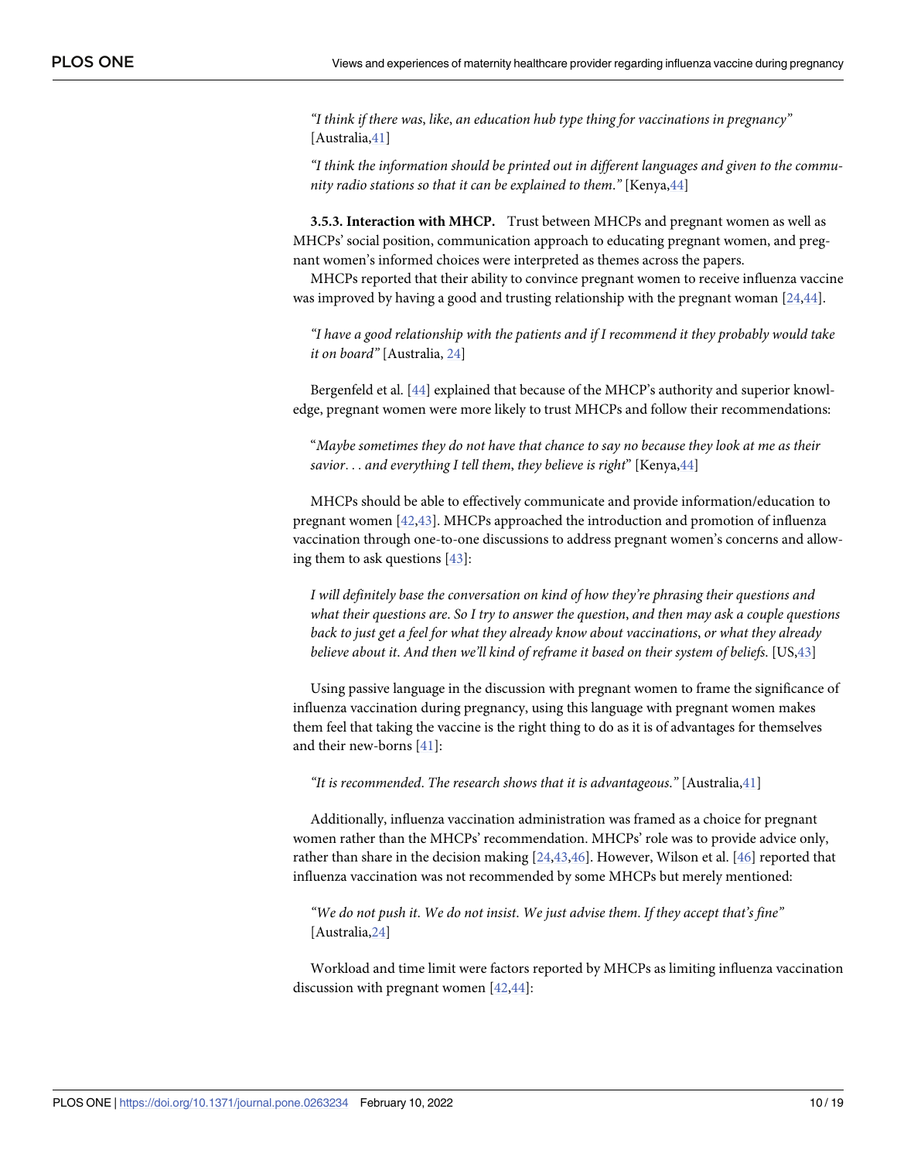<span id="page-10-0"></span>*"I think if there was*, *like*, *an education hub type thing for vaccinations in pregnancy"* [Australia,[41](#page-18-0)]

*"I think the information should be printed out in different languages and given to the community radio stations so that it can be explained to them*.*"* [Kenya[,44\]](#page-18-0)

**3.5.3. Interaction with MHCP.** Trust between MHCPs and pregnant women as well as MHCPs' social position, communication approach to educating pregnant women, and pregnant women's informed choices were interpreted as themes across the papers.

MHCPs reported that their ability to convince pregnant women to receive influenza vaccine was improved by having a good and trusting relationship with the pregnant woman  $[24,44]$  $[24,44]$  $[24,44]$ .

*"I have a good relationship with the patients and if I recommend it they probably would take it on board"* [Australia, [24\]](#page-17-0)

Bergenfeld et al. [\[44\]](#page-18-0) explained that because of the MHCP's authority and superior knowledge, pregnant women were more likely to trust MHCPs and follow their recommendations:

"*Maybe sometimes they do not have that chance to say no because they look at me as their savior*. . . *and everything I tell them*, *they believe is right*" [Kenya[,44\]](#page-18-0)

MHCPs should be able to effectively communicate and provide information/education to pregnant women [[42,43\]](#page-18-0). MHCPs approached the introduction and promotion of influenza vaccination through one-to-one discussions to address pregnant women's concerns and allowing them to ask questions [[43](#page-18-0)]:

*I will definitely base the conversation on kind of how they're phrasing their questions and what their questions are*. *So I try to answer the question*, *and then may ask a couple questions back to just get a feel for what they already know about vaccinations*, *or what they already believe about it*. *And then we'll kind of reframe it based on their system of beliefs*. [US,[43](#page-18-0)]

Using passive language in the discussion with pregnant women to frame the significance of influenza vaccination during pregnancy, using this language with pregnant women makes them feel that taking the vaccine is the right thing to do as it is of advantages for themselves and their new-borns [\[41\]](#page-18-0):

*"It is recommended*. *The research shows that it is advantageous*.*"* [Australia[,41\]](#page-18-0)

Additionally, influenza vaccination administration was framed as a choice for pregnant women rather than the MHCPs' recommendation. MHCPs' role was to provide advice only, rather than share in the decision making [[24](#page-17-0)[,43,46\]](#page-18-0). However, Wilson et al. [\[46\]](#page-18-0) reported that influenza vaccination was not recommended by some MHCPs but merely mentioned:

*"We do not push it*. *We do not insist*. *We just advise them*. *If they accept that's fine"* [Australia,[24](#page-17-0)]

Workload and time limit were factors reported by MHCPs as limiting influenza vaccination discussion with pregnant women [\[42,44\]](#page-18-0):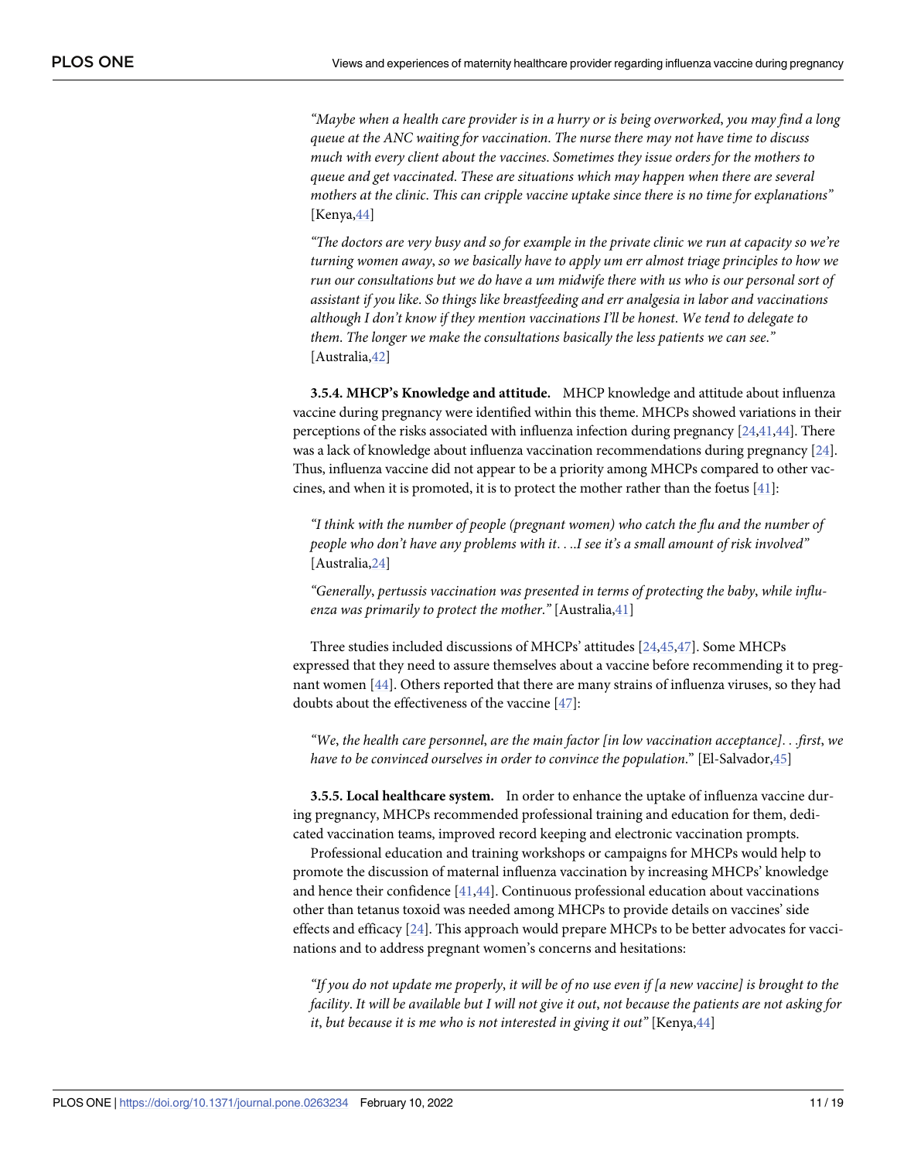"Maybe when a health care provider is in a hurry or is being overworked, you may find a long *queue at the ANC waiting for vaccination*. *The nurse there may not have time to discuss much with every client about the vaccines*. *Sometimes they issue orders for the mothers to queue and get vaccinated*. *These are situations which may happen when there are several mothers at the clinic*. *This can cripple vaccine uptake since there is no time for explanations"* [Kenya, [44\]](#page-18-0)

"The doctors are very busy and so for example in the private clinic we run at capacity so we're *turning women away*, *so we basically have to apply um err almost triage principles to how we run our consultations but we do have a um midwife there with us who is our personal sort of assistant if you like*. *So things like breastfeeding and err analgesia in labor and vaccinations although I don't know if they mention vaccinations I'll be honest*. *We tend to delegate to them*. *The longer we make the consultations basically the less patients we can see*.*"* [Australia,[42](#page-18-0)]

**3.5.4. MHCP's Knowledge and attitude.** MHCP knowledge and attitude about influenza vaccine during pregnancy were identified within this theme. MHCPs showed variations in their perceptions of the risks associated with influenza infection during pregnancy [[24](#page-17-0)[,41,44](#page-18-0)]. There was a lack of knowledge about influenza vaccination recommendations during pregnancy [\[24](#page-17-0)]. Thus, influenza vaccine did not appear to be a priority among MHCPs compared to other vaccines, and when it is promoted, it is to protect the mother rather than the foetus  $[41]$ :

*"I think with the number of people (pregnant women) who catch the flu and the number of people who don't have any problems with it*. . ..*I see it's a small amount of risk involved"* [Australia,[24](#page-17-0)]

*"Generally*, *pertussis vaccination was presented in terms of protecting the baby*, *while influenza was primarily to protect the mother*.*"* [Australia[,41\]](#page-18-0)

Three studies included discussions of MHCPs' attitudes [[24](#page-17-0),[45](#page-18-0),[47\]](#page-18-0). Some MHCPs expressed that they need to assure themselves about a vaccine before recommending it to pregnant women [[44](#page-18-0)]. Others reported that there are many strains of influenza viruses, so they had doubts about the effectiveness of the vaccine [\[47\]](#page-18-0):

*"We*, *the health care personnel*, *are the main factor [in low vaccination acceptance]*. . .*first*, *we have to be convinced ourselves in order to convince the population*." [El-Salvador,[45](#page-18-0)]

**3.5.5. Local healthcare system.** In order to enhance the uptake of influenza vaccine during pregnancy, MHCPs recommended professional training and education for them, dedicated vaccination teams, improved record keeping and electronic vaccination prompts.

Professional education and training workshops or campaigns for MHCPs would help to promote the discussion of maternal influenza vaccination by increasing MHCPs' knowledge and hence their confidence [\[41,44\]](#page-18-0). Continuous professional education about vaccinations other than tetanus toxoid was needed among MHCPs to provide details on vaccines' side effects and efficacy [\[24](#page-17-0)]. This approach would prepare MHCPs to be better advocates for vaccinations and to address pregnant women's concerns and hesitations:

"If you do not update me properly, it will be of no use even if [a new vaccine] is brought to the facility. It will be available but I will not give it out, not because the patients are not asking for *it*, *but because it is me who is not interested in giving it out"* [Kenya,[44](#page-18-0)]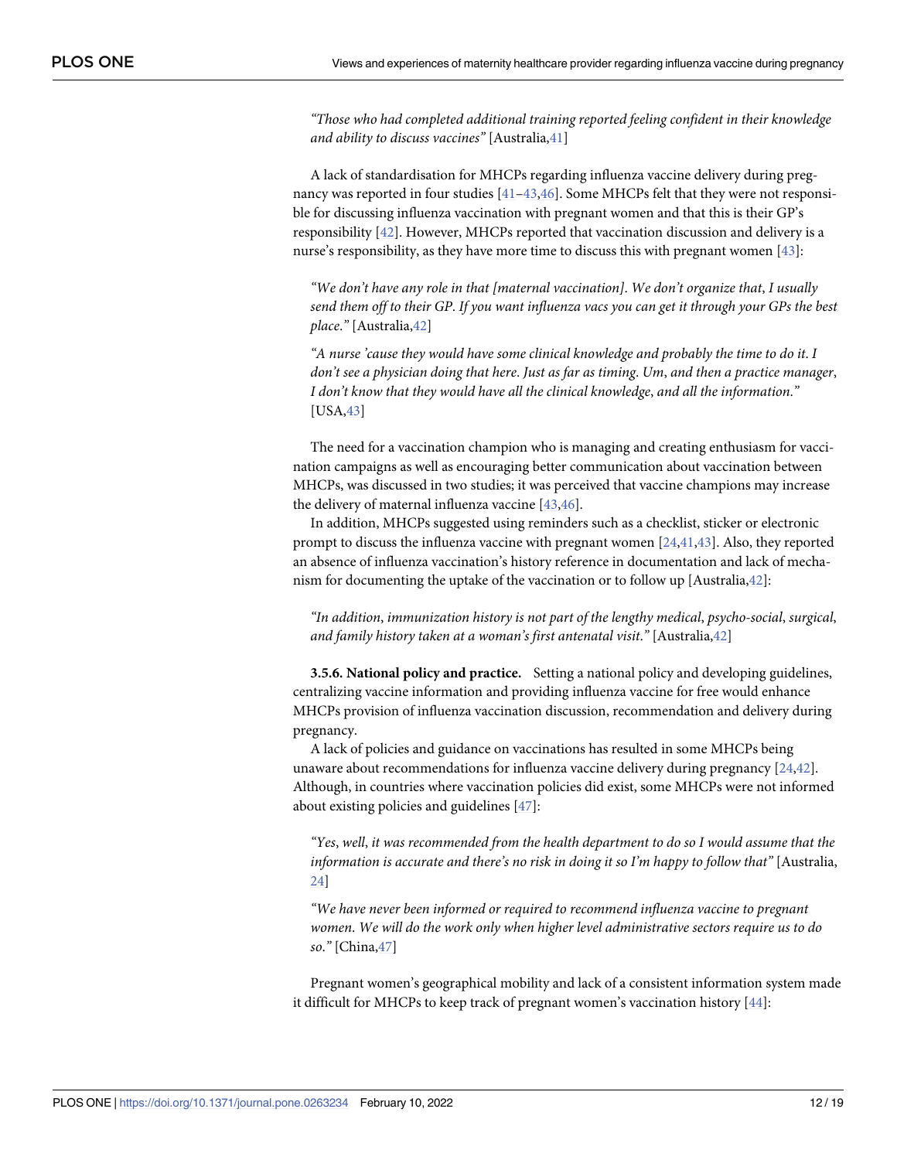<span id="page-12-0"></span>*"Those who had completed additional training reported feeling confident in their knowledge and ability to discuss vaccines"* [Australia[,41\]](#page-18-0)

A lack of standardisation for MHCPs regarding influenza vaccine delivery during pregnancy was reported in four studies [[41–43,46\]](#page-18-0). Some MHCPs felt that they were not responsible for discussing influenza vaccination with pregnant women and that this is their GP's responsibility [[42](#page-18-0)]. However, MHCPs reported that vaccination discussion and delivery is a nurse's responsibility, as they have more time to discuss this with pregnant women [[43](#page-18-0)]:

*"We don't have any role in that [maternal vaccination]*. *We don't organize that*, *I usually* send them off to their GP. If you want influenza vacs you can get it through your GPs the best *place*.*"* [Australia[,42\]](#page-18-0)

*"A nurse 'cause they would have some clinical knowledge and probably the time to do it*. *I don't see a physician doing that here*. *Just as far as timing*. *Um*, *and then a practice manager*, *I don't know that they would have all the clinical knowledge*, *and all the information*.*"* [USA,[43](#page-18-0)]

The need for a vaccination champion who is managing and creating enthusiasm for vaccination campaigns as well as encouraging better communication about vaccination between MHCPs, was discussed in two studies; it was perceived that vaccine champions may increase the delivery of maternal influenza vaccine [\[43,46](#page-18-0)].

In addition, MHCPs suggested using reminders such as a checklist, sticker or electronic prompt to discuss the influenza vaccine with pregnant women [[24](#page-17-0)[,41,43\]](#page-18-0). Also, they reported an absence of influenza vaccination's history reference in documentation and lack of mechanism for documenting the uptake of the vaccination or to follow up [Australia,[42\]](#page-18-0):

*"In addition*, *immunization history is not part of the lengthy medical*, *psycho-social*, *surgical*, *and family history taken at a woman's first antenatal visit*.*"* [Australia[,42\]](#page-18-0)

**3.5.6. National policy and practice.** Setting a national policy and developing guidelines, centralizing vaccine information and providing influenza vaccine for free would enhance MHCPs provision of influenza vaccination discussion, recommendation and delivery during pregnancy.

A lack of policies and guidance on vaccinations has resulted in some MHCPs being unaware about recommendations for influenza vaccine delivery during pregnancy [\[24](#page-17-0),[42](#page-18-0)]. Although, in countries where vaccination policies did exist, some MHCPs were not informed about existing policies and guidelines [[47](#page-18-0)]:

*"Yes*, *well*, *it was recommended from the health department to do so I would assume that the information is accurate and there's no risk in doing it so I'm happy to follow that"* [Australia, [24](#page-17-0)]

*"We have never been informed or required to recommend influenza vaccine to pregnant women*. *We will do the work only when higher level administrative sectors require us to do so*.*"* [China[,47\]](#page-18-0)

Pregnant women's geographical mobility and lack of a consistent information system made it difficult for MHCPs to keep track of pregnant women's vaccination history [\[44\]](#page-18-0):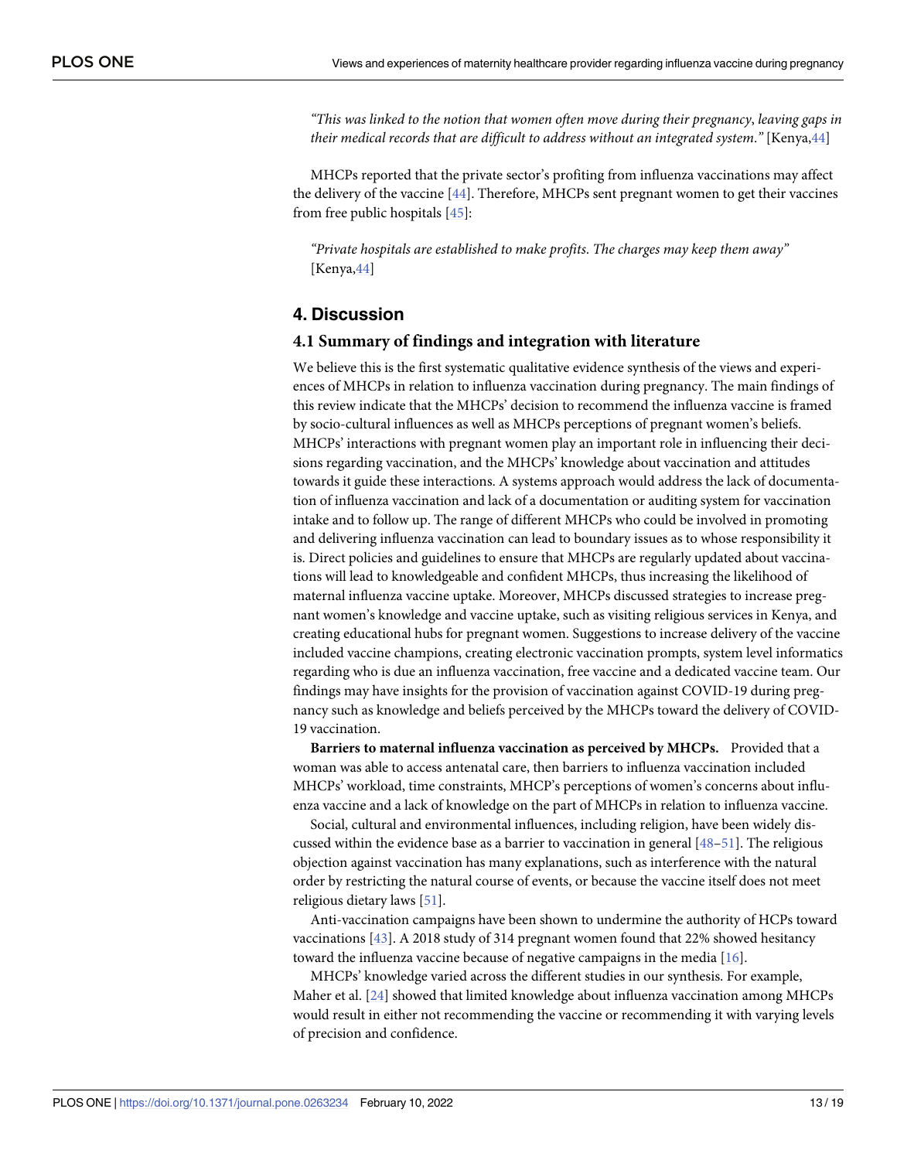<span id="page-13-0"></span>*"This was linked to the notion that women often move during their pregnancy*, *leaving gaps in their medical records that are difficult to address without an integrated system*.*"* [Kenya[,44\]](#page-18-0)

MHCPs reported that the private sector's profiting from influenza vaccinations may affect the delivery of the vaccine [[44](#page-18-0)]. Therefore, MHCPs sent pregnant women to get their vaccines from free public hospitals [\[45\]](#page-18-0):

*"Private hospitals are established to make profits*. *The charges may keep them away"* [Kenya,[44\]](#page-18-0)

# **4. Discussion**

#### **4.1 Summary of findings and integration with literature**

We believe this is the first systematic qualitative evidence synthesis of the views and experiences of MHCPs in relation to influenza vaccination during pregnancy. The main findings of this review indicate that the MHCPs' decision to recommend the influenza vaccine is framed by socio-cultural influences as well as MHCPs perceptions of pregnant women's beliefs. MHCPs' interactions with pregnant women play an important role in influencing their decisions regarding vaccination, and the MHCPs' knowledge about vaccination and attitudes towards it guide these interactions. A systems approach would address the lack of documentation of influenza vaccination and lack of a documentation or auditing system for vaccination intake and to follow up. The range of different MHCPs who could be involved in promoting and delivering influenza vaccination can lead to boundary issues as to whose responsibility it is. Direct policies and guidelines to ensure that MHCPs are regularly updated about vaccinations will lead to knowledgeable and confident MHCPs, thus increasing the likelihood of maternal influenza vaccine uptake. Moreover, MHCPs discussed strategies to increase pregnant women's knowledge and vaccine uptake, such as visiting religious services in Kenya, and creating educational hubs for pregnant women. Suggestions to increase delivery of the vaccine included vaccine champions, creating electronic vaccination prompts, system level informatics regarding who is due an influenza vaccination, free vaccine and a dedicated vaccine team. Our findings may have insights for the provision of vaccination against COVID-19 during pregnancy such as knowledge and beliefs perceived by the MHCPs toward the delivery of COVID-19 vaccination.

**Barriers to maternal influenza vaccination as perceived by MHCPs.** Provided that a woman was able to access antenatal care, then barriers to influenza vaccination included MHCPs' workload, time constraints, MHCP's perceptions of women's concerns about influenza vaccine and a lack of knowledge on the part of MHCPs in relation to influenza vaccine.

Social, cultural and environmental influences, including religion, have been widely discussed within the evidence base as a barrier to vaccination in general [[48–51\]](#page-19-0). The religious objection against vaccination has many explanations, such as interference with the natural order by restricting the natural course of events, or because the vaccine itself does not meet religious dietary laws [\[51\]](#page-19-0).

Anti-vaccination campaigns have been shown to undermine the authority of HCPs toward vaccinations [\[43\]](#page-18-0). A 2018 study of 314 pregnant women found that 22% showed hesitancy toward the influenza vaccine because of negative campaigns in the media [\[16\]](#page-17-0).

MHCPs' knowledge varied across the different studies in our synthesis. For example, Maher et al. [[24](#page-17-0)] showed that limited knowledge about influenza vaccination among MHCPs would result in either not recommending the vaccine or recommending it with varying levels of precision and confidence.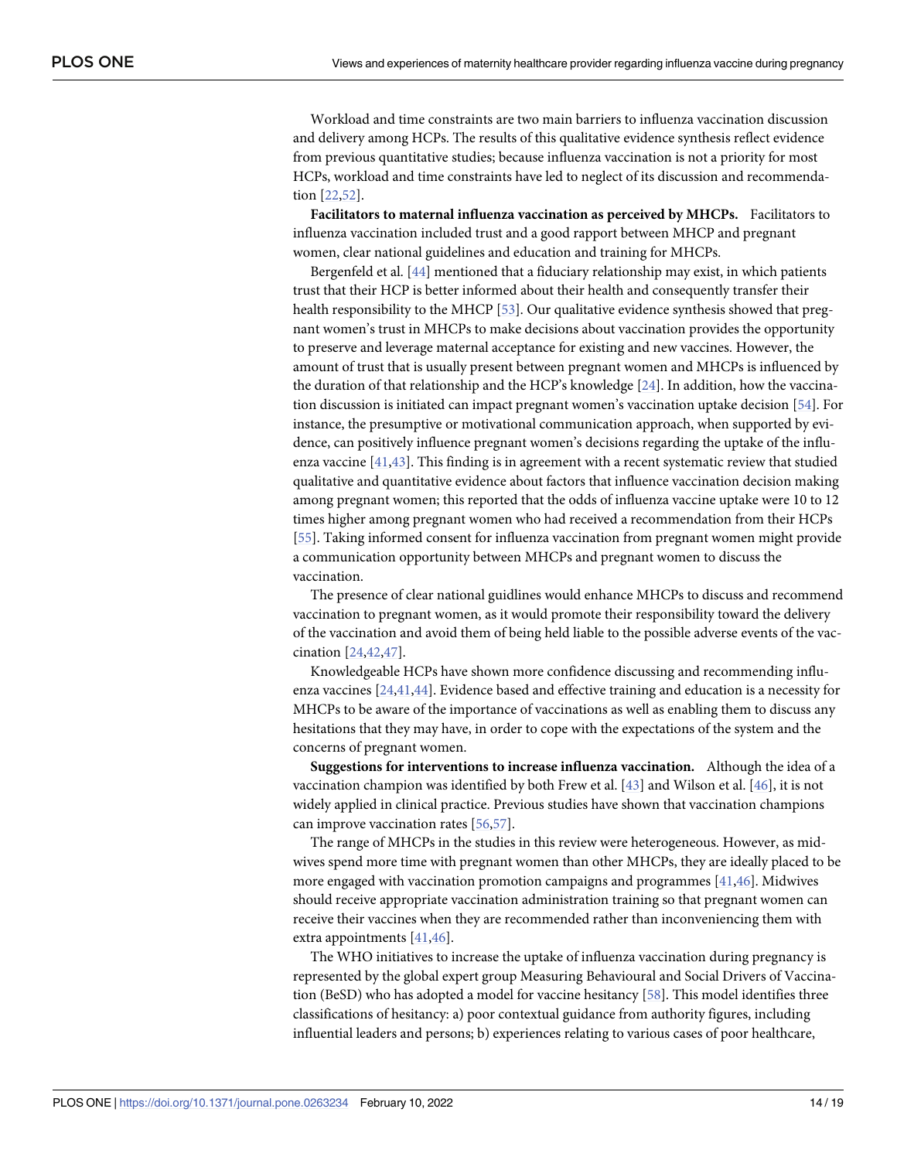<span id="page-14-0"></span>Workload and time constraints are two main barriers to influenza vaccination discussion and delivery among HCPs. The results of this qualitative evidence synthesis reflect evidence from previous quantitative studies; because influenza vaccination is not a priority for most HCPs, workload and time constraints have led to neglect of its discussion and recommendation [[22](#page-17-0),[52](#page-19-0)].

**Facilitators to maternal influenza vaccination as perceived by MHCPs.** Facilitators to influenza vaccination included trust and a good rapport between MHCP and pregnant women, clear national guidelines and education and training for MHCPs.

Bergenfeld et al. [\[44\]](#page-18-0) mentioned that a fiduciary relationship may exist, in which patients trust that their HCP is better informed about their health and consequently transfer their health responsibility to the MHCP [\[53\]](#page-19-0). Our qualitative evidence synthesis showed that pregnant women's trust in MHCPs to make decisions about vaccination provides the opportunity to preserve and leverage maternal acceptance for existing and new vaccines. However, the amount of trust that is usually present between pregnant women and MHCPs is influenced by the duration of that relationship and the HCP's knowledge [\[24\]](#page-17-0). In addition, how the vaccination discussion is initiated can impact pregnant women's vaccination uptake decision [[54](#page-19-0)]. For instance, the presumptive or motivational communication approach, when supported by evidence, can positively influence pregnant women's decisions regarding the uptake of the influenza vaccine [[41](#page-18-0),[43\]](#page-18-0). This finding is in agreement with a recent systematic review that studied qualitative and quantitative evidence about factors that influence vaccination decision making among pregnant women; this reported that the odds of influenza vaccine uptake were 10 to 12 times higher among pregnant women who had received a recommendation from their HCPs [\[55\]](#page-19-0). Taking informed consent for influenza vaccination from pregnant women might provide a communication opportunity between MHCPs and pregnant women to discuss the vaccination.

The presence of clear national guidlines would enhance MHCPs to discuss and recommend vaccination to pregnant women, as it would promote their responsibility toward the delivery of the vaccination and avoid them of being held liable to the possible adverse events of the vaccination [[24](#page-17-0)[,42,47\]](#page-18-0).

Knowledgeable HCPs have shown more confidence discussing and recommending influenza vaccines [\[24](#page-17-0)[,41,44](#page-18-0)]. Evidence based and effective training and education is a necessity for MHCPs to be aware of the importance of vaccinations as well as enabling them to discuss any hesitations that they may have, in order to cope with the expectations of the system and the concerns of pregnant women.

**Suggestions for interventions to increase influenza vaccination.** Although the idea of a vaccination champion was identified by both Frew et al. [\[43\]](#page-18-0) and Wilson et al. [[46](#page-18-0)], it is not widely applied in clinical practice. Previous studies have shown that vaccination champions can improve vaccination rates [[56](#page-19-0),[57](#page-19-0)].

The range of MHCPs in the studies in this review were heterogeneous. However, as midwives spend more time with pregnant women than other MHCPs, they are ideally placed to be more engaged with vaccination promotion campaigns and programmes [\[41,46](#page-18-0)]. Midwives should receive appropriate vaccination administration training so that pregnant women can receive their vaccines when they are recommended rather than inconveniencing them with extra appointments [\[41,46](#page-18-0)].

The WHO initiatives to increase the uptake of influenza vaccination during pregnancy is represented by the global expert group Measuring Behavioural and Social Drivers of Vaccination (BeSD) who has adopted a model for vaccine hesitancy [[58](#page-19-0)]. This model identifies three classifications of hesitancy: a) poor contextual guidance from authority figures, including influential leaders and persons; b) experiences relating to various cases of poor healthcare,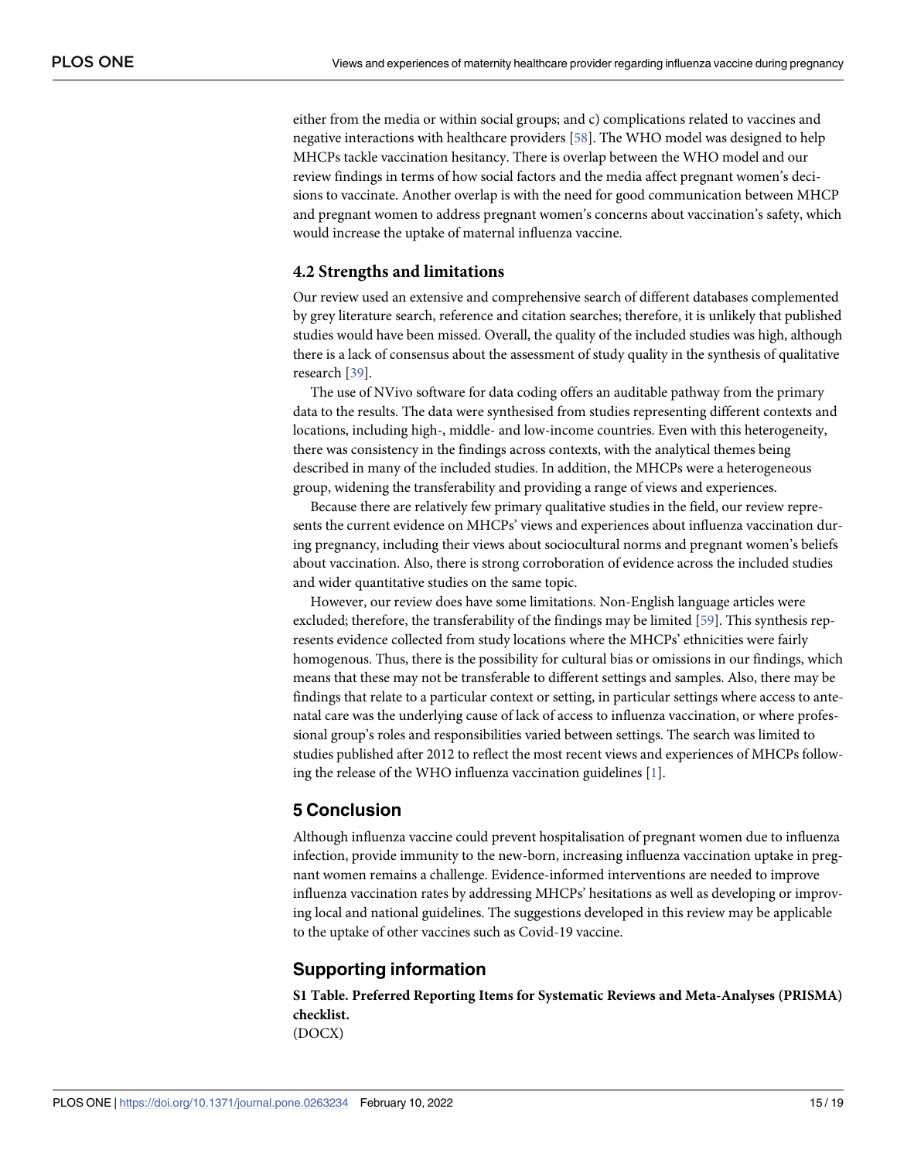<span id="page-15-0"></span>either from the media or within social groups; and c) complications related to vaccines and negative interactions with healthcare providers [[58](#page-19-0)]. The WHO model was designed to help MHCPs tackle vaccination hesitancy. There is overlap between the WHO model and our review findings in terms of how social factors and the media affect pregnant women's decisions to vaccinate. Another overlap is with the need for good communication between MHCP and pregnant women to address pregnant women's concerns about vaccination's safety, which would increase the uptake of maternal influenza vaccine.

#### **4.2 Strengths and limitations**

Our review used an extensive and comprehensive search of different databases complemented by grey literature search, reference and citation searches; therefore, it is unlikely that published studies would have been missed. Overall, the quality of the included studies was high, although there is a lack of consensus about the assessment of study quality in the synthesis of qualitative research [[39](#page-18-0)].

The use of NVivo software for data coding offers an auditable pathway from the primary data to the results. The data were synthesised from studies representing different contexts and locations, including high-, middle- and low-income countries. Even with this heterogeneity, there was consistency in the findings across contexts, with the analytical themes being described in many of the included studies. In addition, the MHCPs were a heterogeneous group, widening the transferability and providing a range of views and experiences.

Because there are relatively few primary qualitative studies in the field, our review represents the current evidence on MHCPs' views and experiences about influenza vaccination during pregnancy, including their views about sociocultural norms and pregnant women's beliefs about vaccination. Also, there is strong corroboration of evidence across the included studies and wider quantitative studies on the same topic.

However, our review does have some limitations. Non-English language articles were excluded; therefore, the transferability of the findings may be limited [\[59\]](#page-19-0). This synthesis represents evidence collected from study locations where the MHCPs' ethnicities were fairly homogenous. Thus, there is the possibility for cultural bias or omissions in our findings, which means that these may not be transferable to different settings and samples. Also, there may be findings that relate to a particular context or setting, in particular settings where access to antenatal care was the underlying cause of lack of access to influenza vaccination, or where professional group's roles and responsibilities varied between settings. The search was limited to studies published after 2012 to reflect the most recent views and experiences of MHCPs following the release of the WHO influenza vaccination guidelines  $[1]$ .

# **5 Conclusion**

Although influenza vaccine could prevent hospitalisation of pregnant women due to influenza infection, provide immunity to the new-born, increasing influenza vaccination uptake in pregnant women remains a challenge. Evidence-informed interventions are needed to improve influenza vaccination rates by addressing MHCPs' hesitations as well as developing or improving local and national guidelines. The suggestions developed in this review may be applicable to the uptake of other vaccines such as Covid-19 vaccine.

# **Supporting information**

**S1 [Table.](http://www.plosone.org/article/fetchSingleRepresentation.action?uri=info:doi/10.1371/journal.pone.0263234.s001) Preferred Reporting Items for Systematic Reviews and Meta-Analyses (PRISMA) checklist.** (DOCX)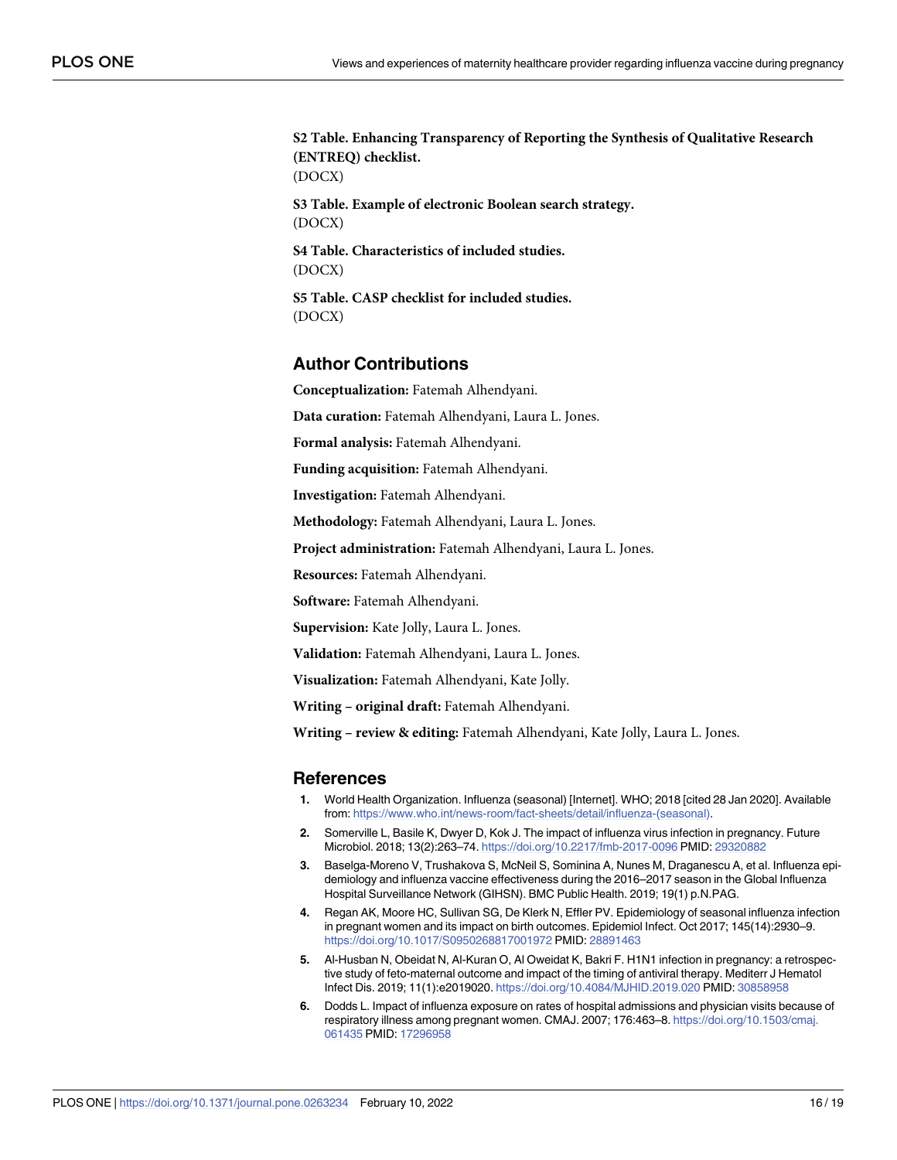<span id="page-16-0"></span>**S2 [Table.](http://www.plosone.org/article/fetchSingleRepresentation.action?uri=info:doi/10.1371/journal.pone.0263234.s002) Enhancing Transparency of Reporting the Synthesis of Qualitative Research (ENTREQ) checklist.** (DOCX) **S3 [Table.](http://www.plosone.org/article/fetchSingleRepresentation.action?uri=info:doi/10.1371/journal.pone.0263234.s003) Example of electronic Boolean search strategy.** (DOCX) **S4 [Table.](http://www.plosone.org/article/fetchSingleRepresentation.action?uri=info:doi/10.1371/journal.pone.0263234.s004) Characteristics of included studies.** (DOCX) **S5 [Table.](http://www.plosone.org/article/fetchSingleRepresentation.action?uri=info:doi/10.1371/journal.pone.0263234.s005) CASP checklist for included studies.** (DOCX)

# **Author Contributions**

**Conceptualization:** Fatemah Alhendyani.

**Data curation:** Fatemah Alhendyani, Laura L. Jones.

**Formal analysis:** Fatemah Alhendyani.

**Funding acquisition:** Fatemah Alhendyani.

**Investigation:** Fatemah Alhendyani.

**Methodology:** Fatemah Alhendyani, Laura L. Jones.

**Project administration:** Fatemah Alhendyani, Laura L. Jones.

**Resources:** Fatemah Alhendyani.

**Software:** Fatemah Alhendyani.

**Supervision:** Kate Jolly, Laura L. Jones.

**Validation:** Fatemah Alhendyani, Laura L. Jones.

**Visualization:** Fatemah Alhendyani, Kate Jolly.

**Writing – original draft:** Fatemah Alhendyani.

**Writing – review & editing:** Fatemah Alhendyani, Kate Jolly, Laura L. Jones.

#### **References**

- **[1](#page-2-0).** World Health Organization. Influenza (seasonal) [Internet]. WHO; 2018 [cited 28 Jan 2020]. Available from: [https://www.who.int/news-room/fact-sheets/detail/influenza-\(seasonal\).](https://www.who.int/news-room/fact-sheets/detail/influenza-(seasonal))
- **[2](#page-2-0).** Somerville L, Basile K, Dwyer D, Kok J. The impact of influenza virus infection in pregnancy. Future Microbiol. 2018; 13(2):263–74. <https://doi.org/10.2217/fmb-2017-0096> PMID: [29320882](http://www.ncbi.nlm.nih.gov/pubmed/29320882)
- **3.** Baselga-Moreno V, Trushakova S, McNeil S, Sominina A, Nunes M, Draganescu A, et al. Influenza epidemiology and influenza vaccine effectiveness during the 2016–2017 season in the Global Influenza Hospital Surveillance Network (GIHSN). BMC Public Health. 2019; 19(1) p.N.PAG.
- **[4](#page-2-0).** Regan AK, Moore HC, Sullivan SG, De Klerk N, Effler PV. Epidemiology of seasonal influenza infection in pregnant women and its impact on birth outcomes. Epidemiol Infect. Oct 2017; 145(14):2930–9. <https://doi.org/10.1017/S0950268817001972> PMID: [28891463](http://www.ncbi.nlm.nih.gov/pubmed/28891463)
- **[5](#page-2-0).** Al-Husban N, Obeidat N, Al-Kuran O, Al Oweidat K, Bakri F. H1N1 infection in pregnancy: a retrospective study of feto-maternal outcome and impact of the timing of antiviral therapy. Mediterr J Hematol Infect Dis. 2019; 11(1):e2019020. <https://doi.org/10.4084/MJHID.2019.020> PMID: [30858958](http://www.ncbi.nlm.nih.gov/pubmed/30858958)
- **6.** Dodds L. Impact of influenza exposure on rates of hospital admissions and physician visits because of respiratory illness among pregnant women. CMAJ. 2007; 176:463–8. [https://doi.org/10.1503/cmaj.](https://doi.org/10.1503/cmaj.061435) [061435](https://doi.org/10.1503/cmaj.061435) PMID: [17296958](http://www.ncbi.nlm.nih.gov/pubmed/17296958)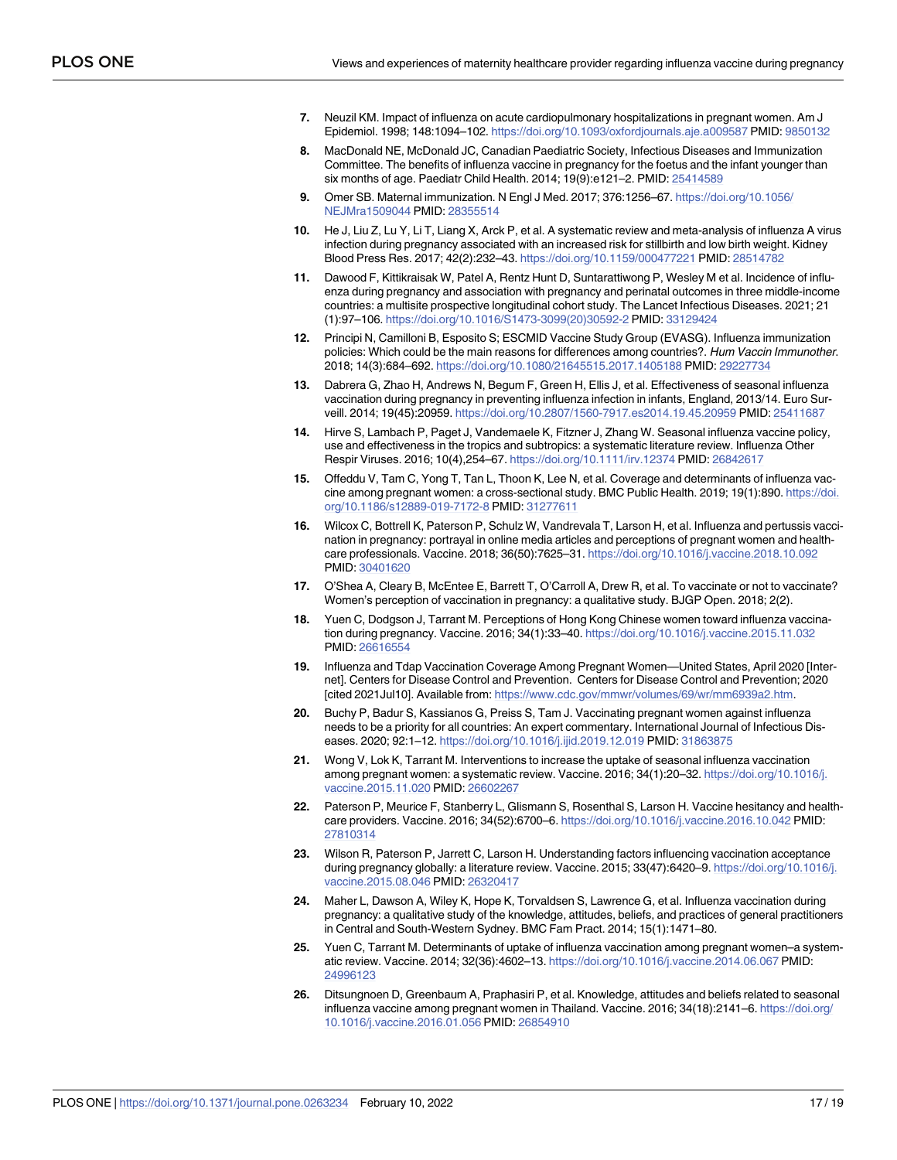- <span id="page-17-0"></span>**[7](#page-2-0).** Neuzil KM. Impact of influenza on acute cardiopulmonary hospitalizations in pregnant women. Am J Epidemiol. 1998; 148:1094–102. <https://doi.org/10.1093/oxfordjournals.aje.a009587> PMID: [9850132](http://www.ncbi.nlm.nih.gov/pubmed/9850132)
- **[8](#page-2-0).** MacDonald NE, McDonald JC, Canadian Paediatric Society, Infectious Diseases and Immunization Committee. The benefits of influenza vaccine in pregnancy for the foetus and the infant younger than six months of age. Paediatr Child Health. 2014; 19(9):e121–2. PMID: [25414589](http://www.ncbi.nlm.nih.gov/pubmed/25414589)
- **[9](#page-2-0).** Omer SB. Maternal immunization. N Engl J Med. 2017; 376:1256–67. [https://doi.org/10.1056/](https://doi.org/10.1056/NEJMra1509044) [NEJMra1509044](https://doi.org/10.1056/NEJMra1509044) PMID: [28355514](http://www.ncbi.nlm.nih.gov/pubmed/28355514)
- **[10](#page-2-0).** He J, Liu Z, Lu Y, Li T, Liang X, Arck P, et al. A systematic review and meta-analysis of influenza A virus infection during pregnancy associated with an increased risk for stillbirth and low birth weight. Kidney Blood Press Res. 2017; 42(2):232–43. <https://doi.org/10.1159/000477221> PMID: [28514782](http://www.ncbi.nlm.nih.gov/pubmed/28514782)
- **[11](#page-2-0).** Dawood F, Kittikraisak W, Patel A, Rentz Hunt D, Suntarattiwong P, Wesley M et al. Incidence of influenza during pregnancy and association with pregnancy and perinatal outcomes in three middle-income countries: a multisite prospective longitudinal cohort study. The Lancet Infectious Diseases. 2021; 21 (1):97–106. [https://doi.org/10.1016/S1473-3099\(20\)30592-2](https://doi.org/10.1016/S1473-3099%2820%2930592-2) PMID: [33129424](http://www.ncbi.nlm.nih.gov/pubmed/33129424)
- **[12](#page-2-0).** Principi N, Camilloni B, Esposito S; ESCMID Vaccine Study Group (EVASG). Influenza immunization policies: Which could be the main reasons for differences among countries?. Hum Vaccin Immunother. 2018; 14(3):684–692. <https://doi.org/10.1080/21645515.2017.1405188> PMID: [29227734](http://www.ncbi.nlm.nih.gov/pubmed/29227734)
- **[13](#page-2-0).** Dabrera G, Zhao H, Andrews N, Begum F, Green H, Ellis J, et al. Effectiveness of seasonal influenza vaccination during pregnancy in preventing influenza infection in infants, England, 2013/14. Euro Surveill. 2014; 19(45):20959. <https://doi.org/10.2807/1560-7917.es2014.19.45.20959> PMID: [25411687](http://www.ncbi.nlm.nih.gov/pubmed/25411687)
- **[14](#page-2-0).** Hirve S, Lambach P, Paget J, Vandemaele K, Fitzner J, Zhang W. Seasonal influenza vaccine policy, use and effectiveness in the tropics and subtropics: a systematic literature review. Influenza Other Respir Viruses. 2016; 10(4),254–67. <https://doi.org/10.1111/irv.12374> PMID: [26842617](http://www.ncbi.nlm.nih.gov/pubmed/26842617)
- **[15](#page-3-0).** Offeddu V, Tam C, Yong T, Tan L, Thoon K, Lee N, et al. Coverage and determinants of influenza vaccine among pregnant women: a cross-sectional study. BMC Public Health. 2019; 19(1):890. [https://doi.](https://doi.org/10.1186/s12889-019-7172-8) [org/10.1186/s12889-019-7172-8](https://doi.org/10.1186/s12889-019-7172-8) PMID: [31277611](http://www.ncbi.nlm.nih.gov/pubmed/31277611)
- **[16](#page-13-0).** Wilcox C, Bottrell K, Paterson P, Schulz W, Vandrevala T, Larson H, et al. Influenza and pertussis vaccination in pregnancy: portrayal in online media articles and perceptions of pregnant women and healthcare professionals. Vaccine. 2018; 36(50):7625–31. <https://doi.org/10.1016/j.vaccine.2018.10.092> PMID: [30401620](http://www.ncbi.nlm.nih.gov/pubmed/30401620)
- **17.** O'Shea A, Cleary B, McEntee E, Barrett T, O'Carroll A, Drew R, et al. To vaccinate or not to vaccinate? Women's perception of vaccination in pregnancy: a qualitative study. BJGP Open. 2018; 2(2).
- **[18](#page-3-0).** Yuen C, Dodgson J, Tarrant M. Perceptions of Hong Kong Chinese women toward influenza vaccination during pregnancy. Vaccine. 2016; 34(1):33–40. <https://doi.org/10.1016/j.vaccine.2015.11.032> PMID: [26616554](http://www.ncbi.nlm.nih.gov/pubmed/26616554)
- **[19](#page-2-0).** Influenza and Tdap Vaccination Coverage Among Pregnant Women—United States, April 2020 [Internet]. Centers for Disease Control and Prevention. Centers for Disease Control and Prevention; 2020 [cited 2021Jul10]. Available from: <https://www.cdc.gov/mmwr/volumes/69/wr/mm6939a2.htm>.
- **[20](#page-2-0).** Buchy P, Badur S, Kassianos G, Preiss S, Tam J. Vaccinating pregnant women against influenza needs to be a priority for all countries: An expert commentary. International Journal of Infectious Diseases. 2020; 92:1–12. <https://doi.org/10.1016/j.ijid.2019.12.019> PMID: [31863875](http://www.ncbi.nlm.nih.gov/pubmed/31863875)
- **[21](#page-3-0).** Wong V, Lok K, Tarrant M. Interventions to increase the uptake of seasonal influenza vaccination among pregnant women: a systematic review. Vaccine. 2016; 34(1):20–32. [https://doi.org/10.1016/j.](https://doi.org/10.1016/j.vaccine.2015.11.020) [vaccine.2015.11.020](https://doi.org/10.1016/j.vaccine.2015.11.020) PMID: [26602267](http://www.ncbi.nlm.nih.gov/pubmed/26602267)
- **[22](#page-14-0).** Paterson P, Meurice F, Stanberry L, Glismann S, Rosenthal S, Larson H. Vaccine hesitancy and healthcare providers. Vaccine. 2016; 34(52):6700–6. <https://doi.org/10.1016/j.vaccine.2016.10.042> PMID: [27810314](http://www.ncbi.nlm.nih.gov/pubmed/27810314)
- **23.** Wilson R, Paterson P, Jarrett C, Larson H. Understanding factors influencing vaccination acceptance during pregnancy globally: a literature review. Vaccine. 2015; 33(47):6420–9. [https://doi.org/10.1016/j.](https://doi.org/10.1016/j.vaccine.2015.08.046) [vaccine.2015.08.046](https://doi.org/10.1016/j.vaccine.2015.08.046) PMID: [26320417](http://www.ncbi.nlm.nih.gov/pubmed/26320417)
- **[24](#page-12-0).** Maher L, Dawson A, Wiley K, Hope K, Torvaldsen S, Lawrence G, et al. Influenza vaccination during pregnancy: a qualitative study of the knowledge, attitudes, beliefs, and practices of general practitioners in Central and South-Western Sydney. BMC Fam Pract. 2014; 15(1):1471–80.
- **[25](#page-3-0).** Yuen C, Tarrant M. Determinants of uptake of influenza vaccination among pregnant women–a systematic review. Vaccine. 2014; 32(36):4602–13. <https://doi.org/10.1016/j.vaccine.2014.06.067> PMID: [24996123](http://www.ncbi.nlm.nih.gov/pubmed/24996123)
- **26.** Ditsungnoen D, Greenbaum A, Praphasiri P, et al. Knowledge, attitudes and beliefs related to seasonal influenza vaccine among pregnant women in Thailand. Vaccine. 2016; 34(18):2141–6. [https://doi.org/](https://doi.org/10.1016/j.vaccine.2016.01.056) [10.1016/j.vaccine.2016.01.056](https://doi.org/10.1016/j.vaccine.2016.01.056) PMID: [26854910](http://www.ncbi.nlm.nih.gov/pubmed/26854910)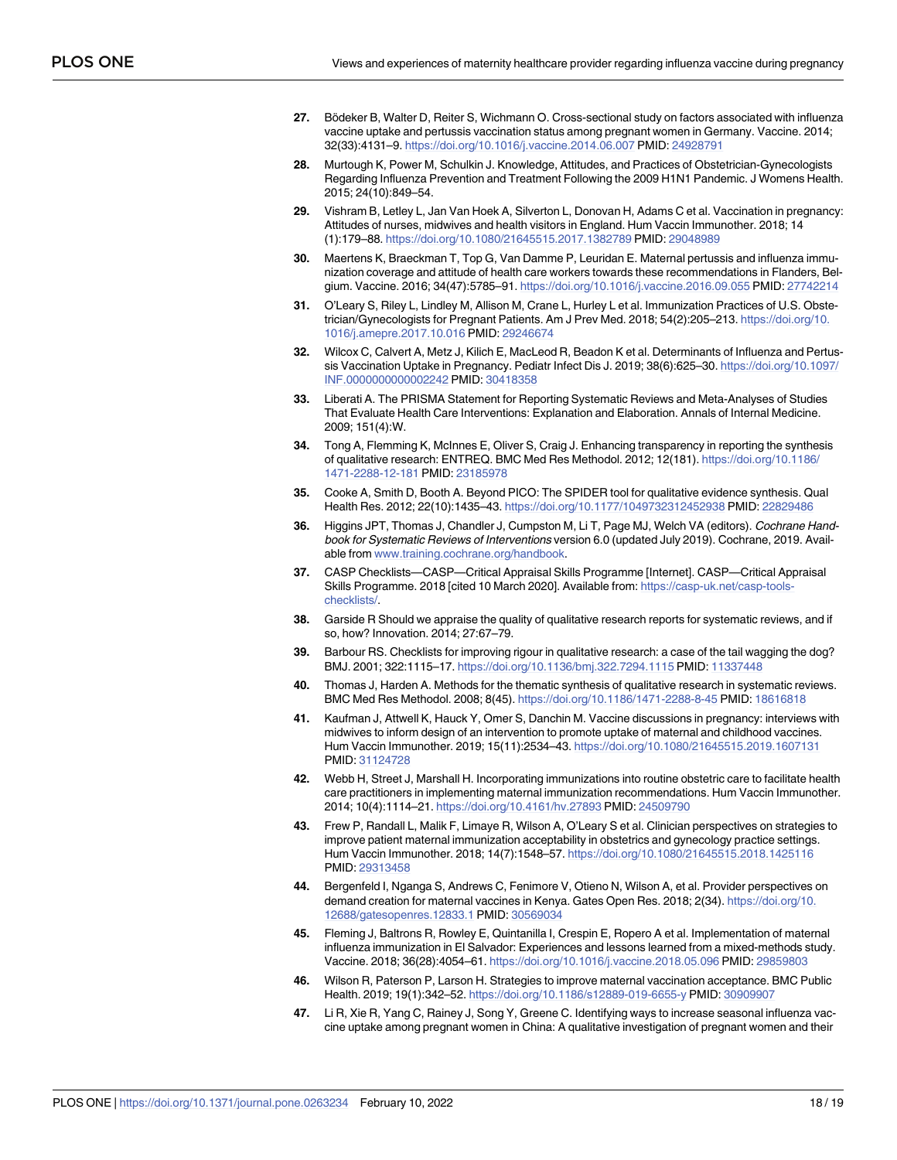- <span id="page-18-0"></span>**[27](#page-3-0).** Bödeker B, Walter D, Reiter S, Wichmann O. Cross-sectional study on factors associated with influenza vaccine uptake and pertussis vaccination status among pregnant women in Germany. Vaccine. 2014; 32(33):4131–9. <https://doi.org/10.1016/j.vaccine.2014.06.007> PMID: [24928791](http://www.ncbi.nlm.nih.gov/pubmed/24928791)
- **[28](#page-3-0).** Murtough K, Power M, Schulkin J. Knowledge, Attitudes, and Practices of Obstetrician-Gynecologists Regarding Influenza Prevention and Treatment Following the 2009 H1N1 Pandemic. J Womens Health. 2015; 24(10):849–54.
- **29.** Vishram B, Letley L, Jan Van Hoek A, Silverton L, Donovan H, Adams C et al. Vaccination in pregnancy: Attitudes of nurses, midwives and health visitors in England. Hum Vaccin Immunother. 2018; 14 (1):179–88. <https://doi.org/10.1080/21645515.2017.1382789> PMID: [29048989](http://www.ncbi.nlm.nih.gov/pubmed/29048989)
- **30.** Maertens K, Braeckman T, Top G, Van Damme P, Leuridan E. Maternal pertussis and influenza immunization coverage and attitude of health care workers towards these recommendations in Flanders, Belgium. Vaccine. 2016; 34(47):5785–91. <https://doi.org/10.1016/j.vaccine.2016.09.055> PMID: [27742214](http://www.ncbi.nlm.nih.gov/pubmed/27742214)
- **31.** O'Leary S, Riley L, Lindley M, Allison M, Crane L, Hurley L et al. Immunization Practices of U.S. Obstetrician/Gynecologists for Pregnant Patients. Am J Prev Med. 2018; 54(2):205–213. [https://doi.org/10.](https://doi.org/10.1016/j.amepre.2017.10.016) [1016/j.amepre.2017.10.016](https://doi.org/10.1016/j.amepre.2017.10.016) PMID: [29246674](http://www.ncbi.nlm.nih.gov/pubmed/29246674)
- **[32](#page-3-0).** Wilcox C, Calvert A, Metz J, Kilich E, MacLeod R, Beadon K et al. Determinants of Influenza and Pertussis Vaccination Uptake in Pregnancy. Pediatr Infect Dis J. 2019; 38(6):625–30. [https://doi.org/10.1097/](https://doi.org/10.1097/INF.0000000000002242) [INF.0000000000002242](https://doi.org/10.1097/INF.0000000000002242) PMID: [30418358](http://www.ncbi.nlm.nih.gov/pubmed/30418358)
- **[33](#page-3-0).** Liberati A. The PRISMA Statement for Reporting Systematic Reviews and Meta-Analyses of Studies That Evaluate Health Care Interventions: Explanation and Elaboration. Annals of Internal Medicine. 2009; 151(4):W.
- **[34](#page-3-0).** Tong A, Flemming K, McInnes E, Oliver S, Craig J. Enhancing transparency in reporting the synthesis of qualitative research: ENTREQ. BMC Med Res Methodol. 2012; 12(181). [https://doi.org/10.1186/](https://doi.org/10.1186/1471-2288-12-181) [1471-2288-12-181](https://doi.org/10.1186/1471-2288-12-181) PMID: [23185978](http://www.ncbi.nlm.nih.gov/pubmed/23185978)
- **[35](#page-3-0).** Cooke A, Smith D, Booth A. Beyond PICO: The SPIDER tool for qualitative evidence synthesis. Qual Health Res. 2012; 22(10):1435–43. <https://doi.org/10.1177/1049732312452938> PMID: [22829486](http://www.ncbi.nlm.nih.gov/pubmed/22829486)
- **[36](#page-3-0).** Higgins JPT, Thomas J, Chandler J, Cumpston M, Li T, Page MJ, Welch VA (editors). Cochrane Handbook for Systematic Reviews of Interventions version 6.0 (updated July 2019). Cochrane, 2019. Available from [www.training.cochrane.org/handbook](http://www.training.cochrane.org/handbook).
- **[37](#page-4-0).** CASP Checklists—CASP—Critical Appraisal Skills Programme [Internet]. CASP—Critical Appraisal Skills Programme. 2018 [cited 10 March 2020]. Available from: [https://casp-uk.net/casp-tools](https://casp-uk.net/casp-tools-checklists/)[checklists/.](https://casp-uk.net/casp-tools-checklists/)
- **[38](#page-4-0).** Garside R Should we appraise the quality of qualitative research reports for systematic reviews, and if so, how? Innovation. 2014; 27:67–79.
- **[39](#page-15-0).** Barbour RS. Checklists for improving rigour in qualitative research: a case of the tail wagging the dog? BMJ. 2001; 322:1115–17. <https://doi.org/10.1136/bmj.322.7294.1115> PMID: [11337448](http://www.ncbi.nlm.nih.gov/pubmed/11337448)
- **[40](#page-4-0).** Thomas J, Harden A. Methods for the thematic synthesis of qualitative research in systematic reviews. BMC Med Res Methodol. 2008; 8(45). <https://doi.org/10.1186/1471-2288-8-45> PMID: [18616818](http://www.ncbi.nlm.nih.gov/pubmed/18616818)
- **[41](#page-8-0).** Kaufman J, Attwell K, Hauck Y, Omer S, Danchin M. Vaccine discussions in pregnancy: interviews with midwives to inform design of an intervention to promote uptake of maternal and childhood vaccines. Hum Vaccin Immunother. 2019; 15(11):2534–43. <https://doi.org/10.1080/21645515.2019.1607131> PMID: [31124728](http://www.ncbi.nlm.nih.gov/pubmed/31124728)
- **[42](#page-8-0).** Webb H, Street J, Marshall H. Incorporating immunizations into routine obstetric care to facilitate health care practitioners in implementing maternal immunization recommendations. Hum Vaccin Immunother. 2014; 10(4):1114–21. <https://doi.org/10.4161/hv.27893> PMID: [24509790](http://www.ncbi.nlm.nih.gov/pubmed/24509790)
- **[43](#page-12-0).** Frew P, Randall L, Malik F, Limaye R, Wilson A, O'Leary S et al. Clinician perspectives on strategies to improve patient maternal immunization acceptability in obstetrics and gynecology practice settings. Hum Vaccin Immunother. 2018; 14(7):1548–57. <https://doi.org/10.1080/21645515.2018.1425116> PMID: [29313458](http://www.ncbi.nlm.nih.gov/pubmed/29313458)
- **[44](#page-13-0).** Bergenfeld I, Nganga S, Andrews C, Fenimore V, Otieno N, Wilson A, et al. Provider perspectives on demand creation for maternal vaccines in Kenya. Gates Open Res. 2018; 2(34). [https://doi.org/10.](https://doi.org/10.12688/gatesopenres.12833.1) [12688/gatesopenres.12833.1](https://doi.org/10.12688/gatesopenres.12833.1) PMID: [30569034](http://www.ncbi.nlm.nih.gov/pubmed/30569034)
- **[45](#page-9-0).** Fleming J, Baltrons R, Rowley E, Quintanilla I, Crespin E, Ropero A et al. Implementation of maternal influenza immunization in El Salvador: Experiences and lessons learned from a mixed-methods study. Vaccine. 2018; 36(28):4054–61. <https://doi.org/10.1016/j.vaccine.2018.05.096> PMID: [29859803](http://www.ncbi.nlm.nih.gov/pubmed/29859803)
- **[46](#page-10-0).** Wilson R, Paterson P, Larson H. Strategies to improve maternal vaccination acceptance. BMC Public Health. 2019; 19(1):342–52. <https://doi.org/10.1186/s12889-019-6655-y> PMID: [30909907](http://www.ncbi.nlm.nih.gov/pubmed/30909907)
- **[47](#page-7-0).** Li R, Xie R, Yang C, Rainey J, Song Y, Greene C. Identifying ways to increase seasonal influenza vaccine uptake among pregnant women in China: A qualitative investigation of pregnant women and their